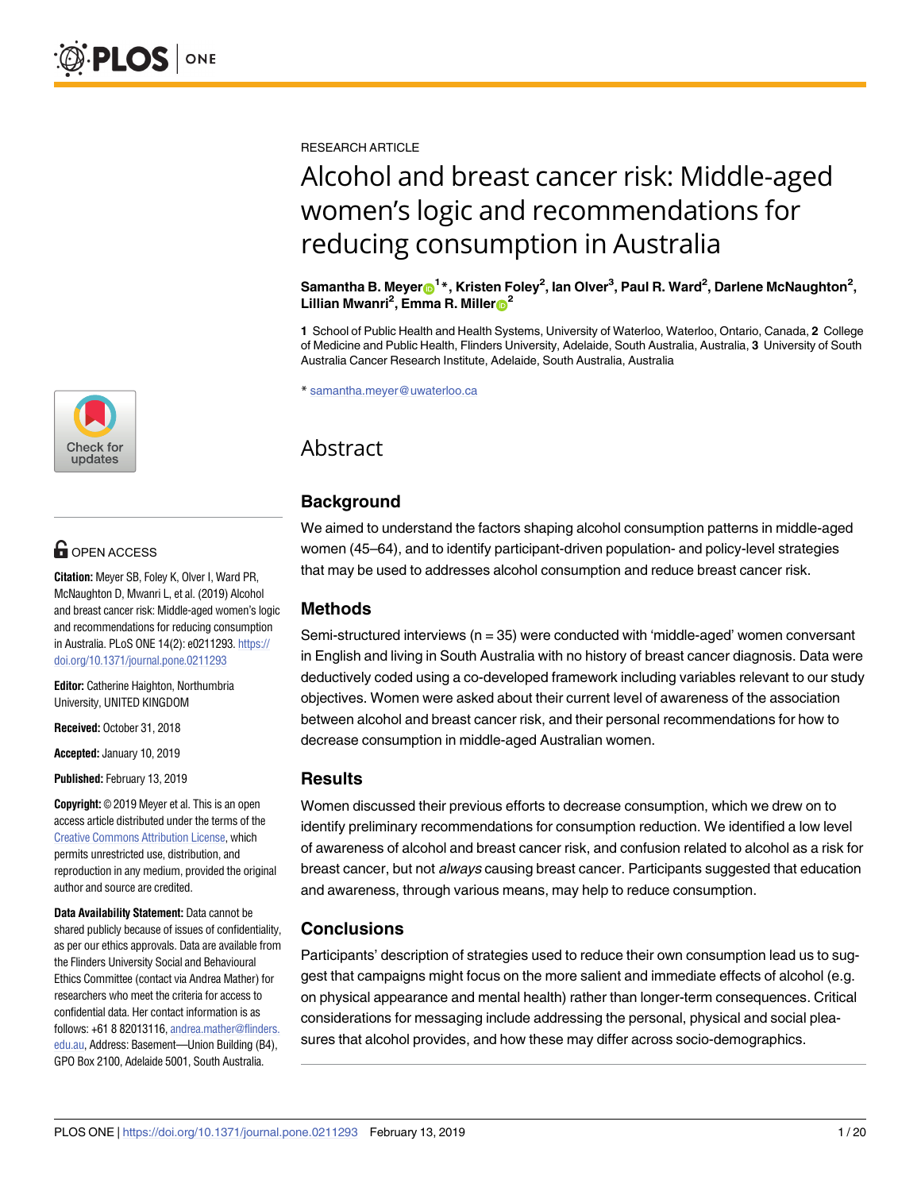

## **G** OPEN ACCESS

**Citation:** Meyer SB, Foley K, Olver I, Ward PR, McNaughton D, Mwanri L, et al. (2019) Alcohol and breast cancer risk: Middle-aged women's logic and recommendations for reducing consumption in Australia. PLoS ONE 14(2): e0211293. [https://](https://doi.org/10.1371/journal.pone.0211293) [doi.org/10.1371/journal.pone.0211293](https://doi.org/10.1371/journal.pone.0211293)

**Editor:** Catherine Haighton, Northumbria University, UNITED KINGDOM

**Received:** October 31, 2018

**Accepted:** January 10, 2019

**Published:** February 13, 2019

**Copyright:** © 2019 Meyer et al. This is an open access article distributed under the terms of the Creative Commons [Attribution](http://creativecommons.org/licenses/by/4.0/) License, which permits unrestricted use, distribution, and reproduction in any medium, provided the original author and source are credited.

**Data Availability Statement:** Data cannot be shared publicly because of issues of confidentiality, as per our ethics approvals. Data are available from the Flinders University Social and Behavioural Ethics Committee (contact via Andrea Mather) for researchers who meet the criteria for access to confidential data. Her contact information is as follows: +61 8 82013116, [andrea.mather@flinders.](mailto:andrea.mather@flinders.edu.au) [edu.au,](mailto:andrea.mather@flinders.edu.au) Address: Basement—Union Building (B4), GPO Box 2100, Adelaide 5001, South Australia.

RESEARCH ARTICLE

# Alcohol and breast cancer risk: Middle-aged women's logic and recommendations for reducing consumption in Australia

Samantha B. Meyer⊕<sup>1</sup>\*, Kristen Foley<sup>2</sup>, Ian Olver<sup>3</sup>, Paul R. Ward<sup>2</sup>, Darlene McNaughton<sup>2</sup>, **Lillian Mwanri2 , Emma R. Miller[ID2](http://orcid.org/0000-0002-6373-5720)**

**1** School of Public Health and Health Systems, University of Waterloo, Waterloo, Ontario, Canada, **2** College of Medicine and Public Health, Flinders University, Adelaide, South Australia, Australia, **3** University of South Australia Cancer Research Institute, Adelaide, South Australia, Australia

\* samantha.meyer@uwaterloo.ca

## Abstract

## **Background**

We aimed to understand the factors shaping alcohol consumption patterns in middle-aged women (45–64), and to identify participant-driven population- and policy-level strategies that may be used to addresses alcohol consumption and reduce breast cancer risk.

## **Methods**

Semi-structured interviews (n = 35) were conducted with 'middle-aged' women conversant in English and living in South Australia with no history of breast cancer diagnosis. Data were deductively coded using a co-developed framework including variables relevant to our study objectives. Women were asked about their current level of awareness of the association between alcohol and breast cancer risk, and their personal recommendations for how to decrease consumption in middle-aged Australian women.

## **Results**

Women discussed their previous efforts to decrease consumption, which we drew on to identify preliminary recommendations for consumption reduction. We identified a low level of awareness of alcohol and breast cancer risk, and confusion related to alcohol as a risk for breast cancer, but not always causing breast cancer. Participants suggested that education and awareness, through various means, may help to reduce consumption.

## **Conclusions**

Participants' description of strategies used to reduce their own consumption lead us to suggest that campaigns might focus on the more salient and immediate effects of alcohol (e.g. on physical appearance and mental health) rather than longer-term consequences. Critical considerations for messaging include addressing the personal, physical and social pleasures that alcohol provides, and how these may differ across socio-demographics.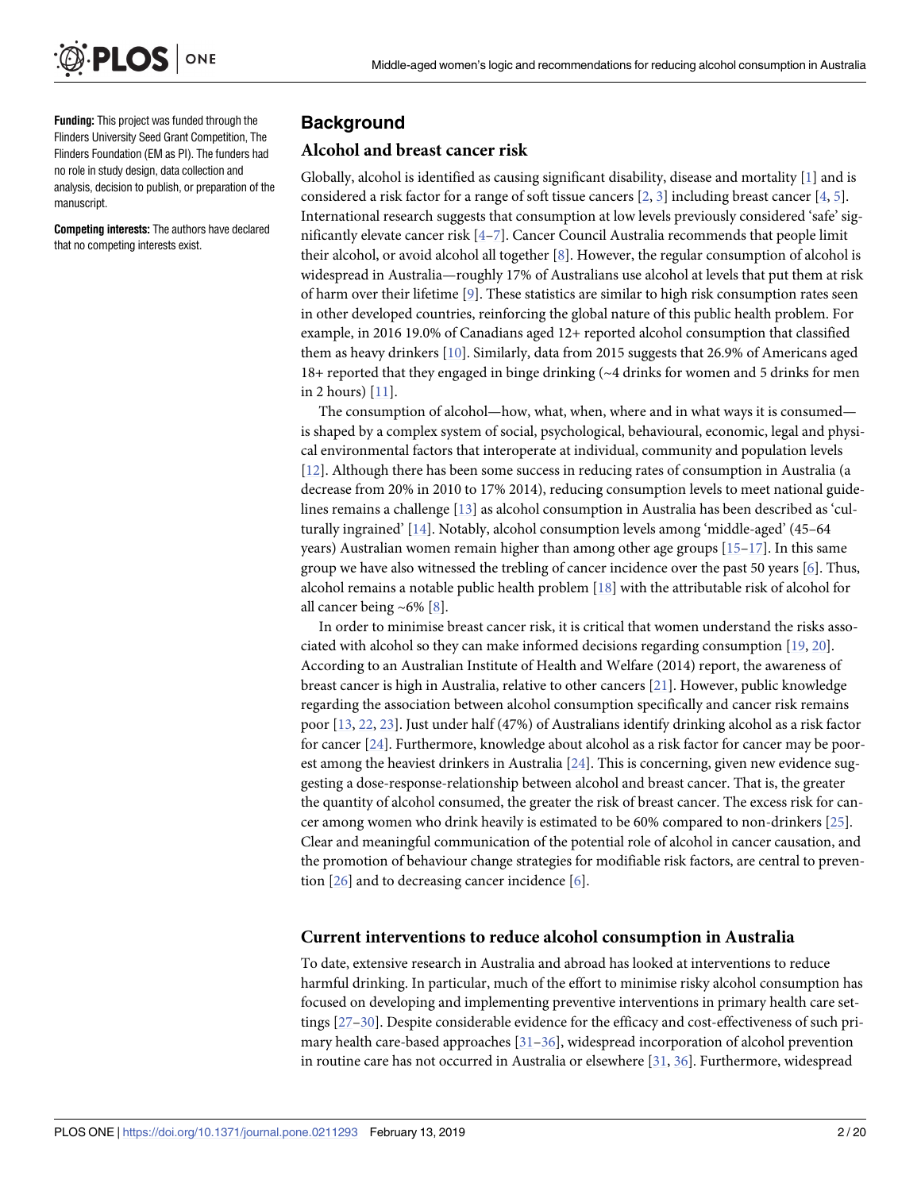<span id="page-1-0"></span>

**Funding:** This project was funded through the Flinders University Seed Grant Competition, The Flinders Foundation (EM as PI). The funders had no role in study design, data collection and analysis, decision to publish, or preparation of the manuscript.

**Competing interests:** The authors have declared that no competing interests exist.

## **Background**

#### **Alcohol and breast cancer risk**

Globally, alcohol is identified as causing significant disability, disease and mortality [[1](#page-17-0)] and is considered a risk factor for a range of soft tissue cancers [\[2,](#page-17-0) [3](#page-17-0)] including breast cancer [\[4,](#page-17-0) [5](#page-17-0)]. International research suggests that consumption at low levels previously considered 'safe' significantly elevate cancer risk [\[4–7\]](#page-17-0). Cancer Council Australia recommends that people limit their alcohol, or avoid alcohol all together  $[8]$  $[8]$ . However, the regular consumption of alcohol is widespread in Australia—roughly 17% of Australians use alcohol at levels that put them at risk of harm over their lifetime [[9](#page-17-0)]. These statistics are similar to high risk consumption rates seen in other developed countries, reinforcing the global nature of this public health problem. For example, in 2016 19.0% of Canadians aged 12+ reported alcohol consumption that classified them as heavy drinkers [\[10\]](#page-17-0). Similarly, data from 2015 suggests that 26.9% of Americans aged 18+ reported that they engaged in binge drinking (~4 drinks for women and 5 drinks for men in 2 hours) [\[11\]](#page-17-0).

The consumption of alcohol—how, what, when, where and in what ways it is consumed is shaped by a complex system of social, psychological, behavioural, economic, legal and physical environmental factors that interoperate at individual, community and population levels [\[12\]](#page-17-0). Although there has been some success in reducing rates of consumption in Australia (a decrease from 20% in 2010 to 17% 2014), reducing consumption levels to meet national guidelines remains a challenge [[13](#page-17-0)] as alcohol consumption in Australia has been described as 'culturally ingrained' [\[14\]](#page-17-0). Notably, alcohol consumption levels among 'middle-aged' (45–64 years) Australian women remain higher than among other age groups [\[15–17](#page-17-0)]. In this same group we have also witnessed the trebling of cancer incidence over the past 50 years [[6\]](#page-17-0). Thus, alcohol remains a notable public health problem [\[18\]](#page-17-0) with the attributable risk of alcohol for all cancer being  $~6\%$  [[8\]](#page-17-0).

In order to minimise breast cancer risk, it is critical that women understand the risks associated with alcohol so they can make informed decisions regarding consumption [[19](#page-18-0), [20](#page-18-0)]. According to an Australian Institute of Health and Welfare (2014) report, the awareness of breast cancer is high in Australia, relative to other cancers [[21](#page-18-0)]. However, public knowledge regarding the association between alcohol consumption specifically and cancer risk remains poor [[13](#page-17-0), [22](#page-18-0), [23](#page-18-0)]. Just under half (47%) of Australians identify drinking alcohol as a risk factor for cancer [[24](#page-18-0)]. Furthermore, knowledge about alcohol as a risk factor for cancer may be poorest among the heaviest drinkers in Australia [[24](#page-18-0)]. This is concerning, given new evidence suggesting a dose-response-relationship between alcohol and breast cancer. That is, the greater the quantity of alcohol consumed, the greater the risk of breast cancer. The excess risk for cancer among women who drink heavily is estimated to be 60% compared to non-drinkers [\[25\]](#page-18-0). Clear and meaningful communication of the potential role of alcohol in cancer causation, and the promotion of behaviour change strategies for modifiable risk factors, are central to prevention [[26](#page-18-0)] and to decreasing cancer incidence [[6](#page-17-0)].

#### **Current interventions to reduce alcohol consumption in Australia**

To date, extensive research in Australia and abroad has looked at interventions to reduce harmful drinking. In particular, much of the effort to minimise risky alcohol consumption has focused on developing and implementing preventive interventions in primary health care settings [\[27–30](#page-18-0)]. Despite considerable evidence for the efficacy and cost-effectiveness of such primary health care-based approaches [\[31–36](#page-18-0)], widespread incorporation of alcohol prevention in routine care has not occurred in Australia or elsewhere [\[31,](#page-18-0) [36\]](#page-18-0). Furthermore, widespread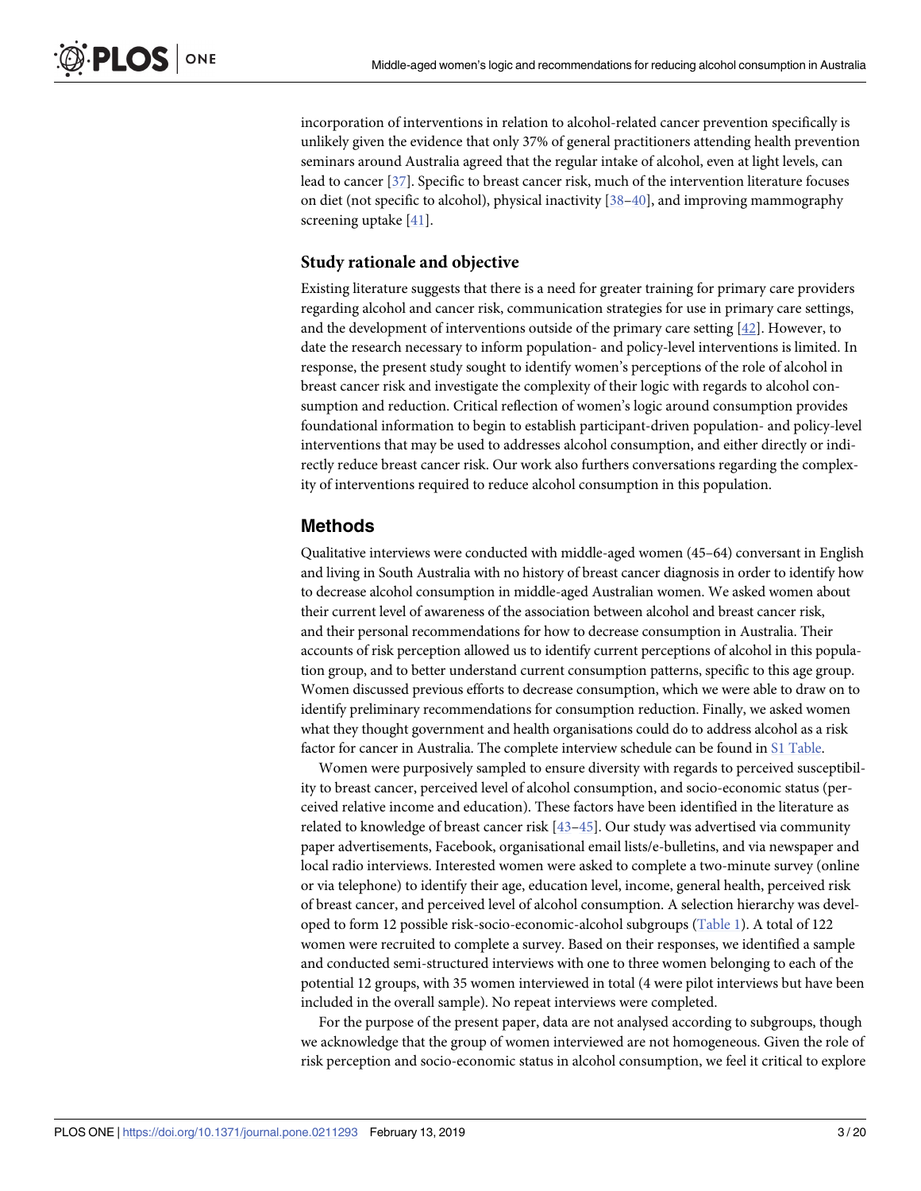<span id="page-2-0"></span>incorporation of interventions in relation to alcohol-related cancer prevention specifically is unlikely given the evidence that only 37% of general practitioners attending health prevention seminars around Australia agreed that the regular intake of alcohol, even at light levels, can lead to cancer [[37](#page-18-0)]. Specific to breast cancer risk, much of the intervention literature focuses on diet (not specific to alcohol), physical inactivity [\[38–40\]](#page-18-0), and improving mammography screening uptake [\[41\]](#page-19-0).

#### **Study rationale and objective**

Existing literature suggests that there is a need for greater training for primary care providers regarding alcohol and cancer risk, communication strategies for use in primary care settings, and the development of interventions outside of the primary care setting  $[42]$ . However, to date the research necessary to inform population- and policy-level interventions is limited. In response, the present study sought to identify women's perceptions of the role of alcohol in breast cancer risk and investigate the complexity of their logic with regards to alcohol consumption and reduction. Critical reflection of women's logic around consumption provides foundational information to begin to establish participant-driven population- and policy-level interventions that may be used to addresses alcohol consumption, and either directly or indirectly reduce breast cancer risk. Our work also furthers conversations regarding the complexity of interventions required to reduce alcohol consumption in this population.

### **Methods**

Qualitative interviews were conducted with middle-aged women (45–64) conversant in English and living in South Australia with no history of breast cancer diagnosis in order to identify how to decrease alcohol consumption in middle-aged Australian women. We asked women about their current level of awareness of the association between alcohol and breast cancer risk, and their personal recommendations for how to decrease consumption in Australia. Their accounts of risk perception allowed us to identify current perceptions of alcohol in this population group, and to better understand current consumption patterns, specific to this age group. Women discussed previous efforts to decrease consumption, which we were able to draw on to identify preliminary recommendations for consumption reduction. Finally, we asked women what they thought government and health organisations could do to address alcohol as a risk factor for cancer in Australia. The complete interview schedule can be found in S1 [Table](#page-16-0).

Women were purposively sampled to ensure diversity with regards to perceived susceptibility to breast cancer, perceived level of alcohol consumption, and socio-economic status (perceived relative income and education). These factors have been identified in the literature as related to knowledge of breast cancer risk [\[43–45\]](#page-19-0). Our study was advertised via community paper advertisements, Facebook, organisational email lists/e-bulletins, and via newspaper and local radio interviews. Interested women were asked to complete a two-minute survey (online or via telephone) to identify their age, education level, income, general health, perceived risk of breast cancer, and perceived level of alcohol consumption. A selection hierarchy was developed to form 12 possible risk-socio-economic-alcohol subgroups ([Table](#page-3-0) 1). A total of 122 women were recruited to complete a survey. Based on their responses, we identified a sample and conducted semi-structured interviews with one to three women belonging to each of the potential 12 groups, with 35 women interviewed in total (4 were pilot interviews but have been included in the overall sample). No repeat interviews were completed.

For the purpose of the present paper, data are not analysed according to subgroups, though we acknowledge that the group of women interviewed are not homogeneous. Given the role of risk perception and socio-economic status in alcohol consumption, we feel it critical to explore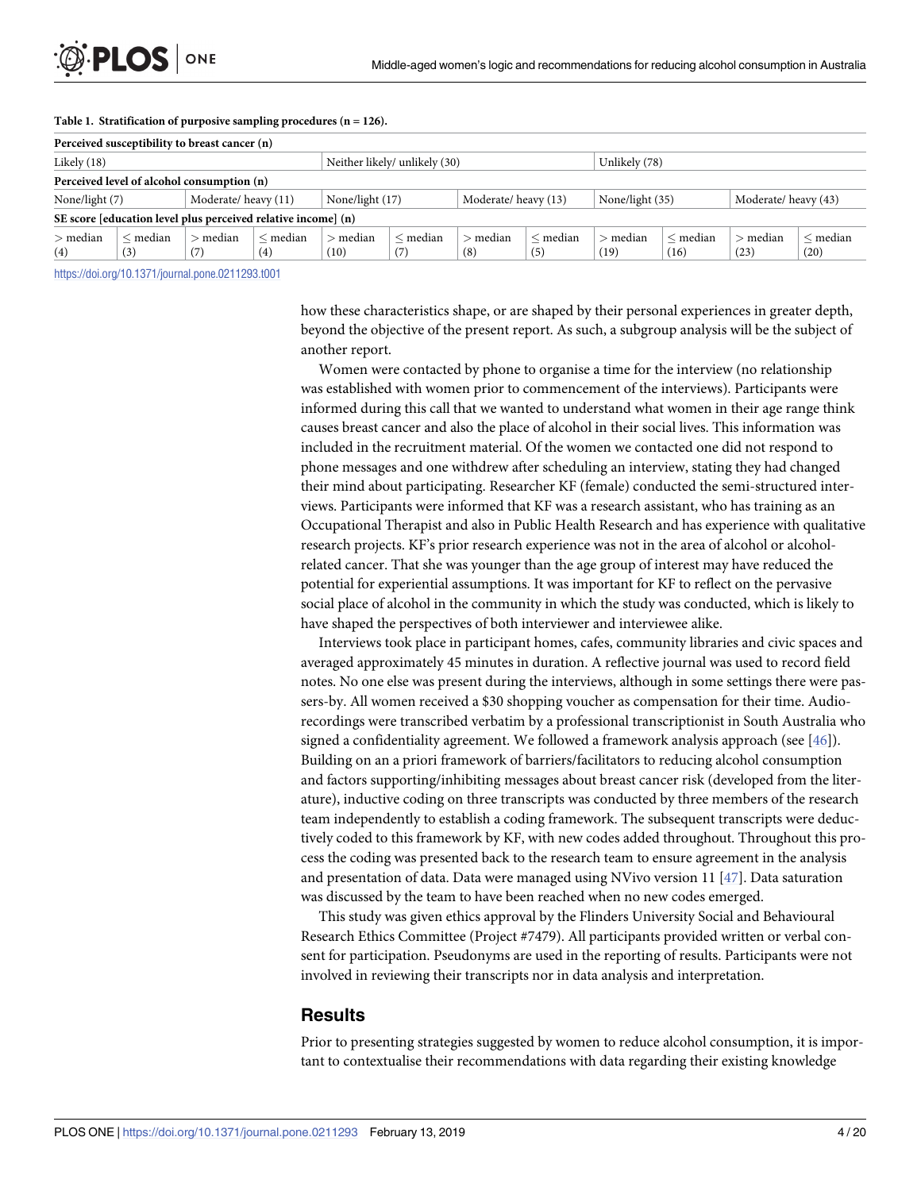|                | Perceived susceptibility to breast cancer (n)                 |                     |            |                               |            |                     |            |                 |            |                     |            |
|----------------|---------------------------------------------------------------|---------------------|------------|-------------------------------|------------|---------------------|------------|-----------------|------------|---------------------|------------|
| Likely (18)    |                                                               |                     |            | Neither likely/ unlikely (30) |            |                     |            | Unlikely (78)   |            |                     |            |
|                | Perceived level of alcohol consumption (n)                    |                     |            |                               |            |                     |            |                 |            |                     |            |
| None/light (7) |                                                               | Moderate/heavy (11) |            | None/light (17)               |            | Moderate/heavy (13) |            | None/light (35) |            | Moderate/heavy (43) |            |
|                | SE score [education level plus perceived relative income] (n) |                     |            |                               |            |                     |            |                 |            |                     |            |
| $>$ median     | $<$ median                                                    | $>$ median          | $<$ median | $>$ median                    | $<$ median | $>$ median          | $<$ median | $>$ median      | $<$ median | $>$ median          | $<$ median |
| (4)            | (3)                                                           |                     | (4)        | (10)                          | (7)        | (8)                 | (5)        | (19)            | (16)       | (23)                | (20)       |

#### <span id="page-3-0"></span>**[Table](#page-2-0) 1. Stratification of purposive sampling procedures (n = 126).**

<https://doi.org/10.1371/journal.pone.0211293.t001>

how these characteristics shape, or are shaped by their personal experiences in greater depth, beyond the objective of the present report. As such, a subgroup analysis will be the subject of another report.

Women were contacted by phone to organise a time for the interview (no relationship was established with women prior to commencement of the interviews). Participants were informed during this call that we wanted to understand what women in their age range think causes breast cancer and also the place of alcohol in their social lives. This information was included in the recruitment material. Of the women we contacted one did not respond to phone messages and one withdrew after scheduling an interview, stating they had changed their mind about participating. Researcher KF (female) conducted the semi-structured interviews. Participants were informed that KF was a research assistant, who has training as an Occupational Therapist and also in Public Health Research and has experience with qualitative research projects. KF's prior research experience was not in the area of alcohol or alcoholrelated cancer. That she was younger than the age group of interest may have reduced the potential for experiential assumptions. It was important for KF to reflect on the pervasive social place of alcohol in the community in which the study was conducted, which is likely to have shaped the perspectives of both interviewer and interviewee alike.

Interviews took place in participant homes, cafes, community libraries and civic spaces and averaged approximately 45 minutes in duration. A reflective journal was used to record field notes. No one else was present during the interviews, although in some settings there were passers-by. All women received a \$30 shopping voucher as compensation for their time. Audiorecordings were transcribed verbatim by a professional transcriptionist in South Australia who signed a confidentiality agreement. We followed a framework analysis approach (see [[46](#page-19-0)]). Building on an a priori framework of barriers/facilitators to reducing alcohol consumption and factors supporting/inhibiting messages about breast cancer risk (developed from the literature), inductive coding on three transcripts was conducted by three members of the research team independently to establish a coding framework. The subsequent transcripts were deductively coded to this framework by KF, with new codes added throughout. Throughout this process the coding was presented back to the research team to ensure agreement in the analysis and presentation of data. Data were managed using NVivo version 11 [[47](#page-19-0)]. Data saturation was discussed by the team to have been reached when no new codes emerged.

This study was given ethics approval by the Flinders University Social and Behavioural Research Ethics Committee (Project #7479). All participants provided written or verbal consent for participation. Pseudonyms are used in the reporting of results. Participants were not involved in reviewing their transcripts nor in data analysis and interpretation.

## **Results**

Prior to presenting strategies suggested by women to reduce alcohol consumption, it is important to contextualise their recommendations with data regarding their existing knowledge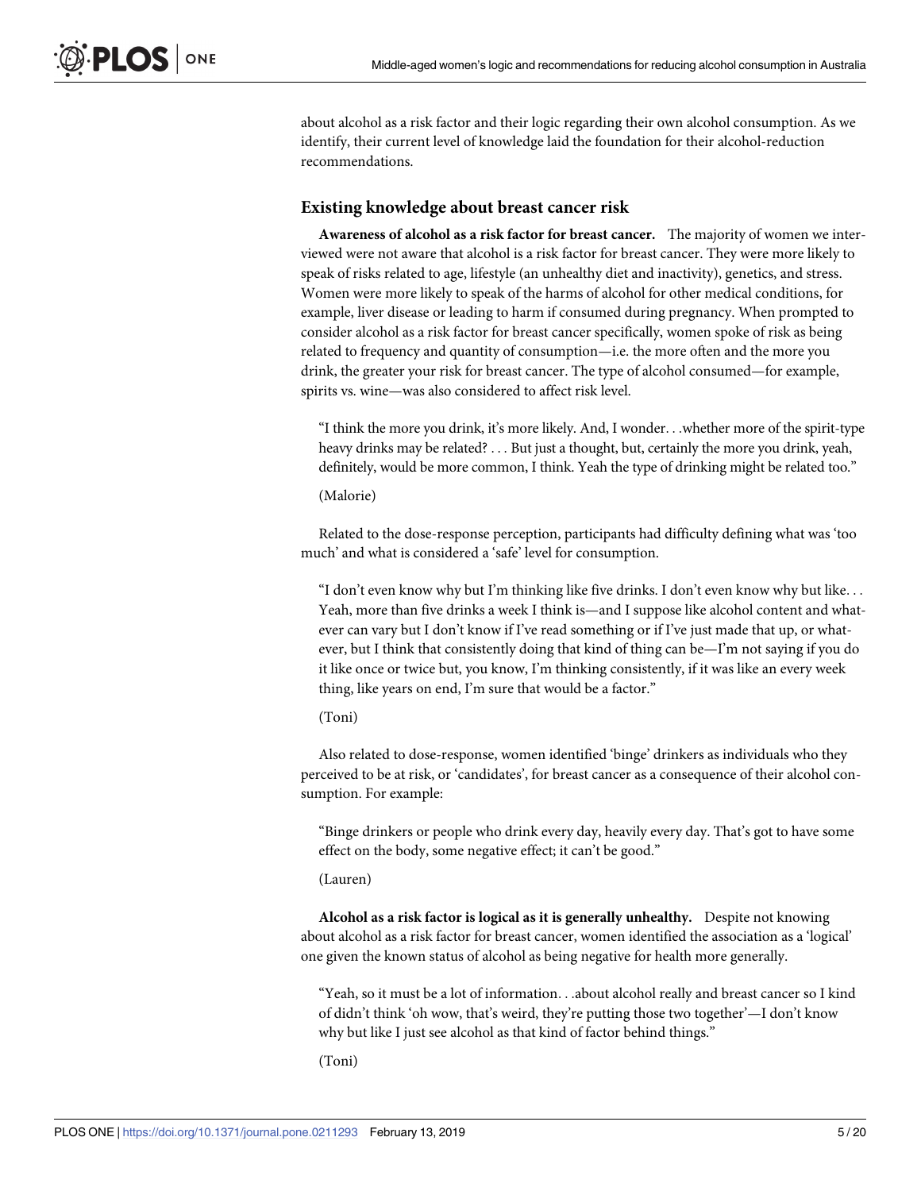about alcohol as a risk factor and their logic regarding their own alcohol consumption. As we identify, their current level of knowledge laid the foundation for their alcohol-reduction recommendations.

#### **Existing knowledge about breast cancer risk**

**Awareness of alcohol as a risk factor for breast cancer.** The majority of women we interviewed were not aware that alcohol is a risk factor for breast cancer. They were more likely to speak of risks related to age, lifestyle (an unhealthy diet and inactivity), genetics, and stress. Women were more likely to speak of the harms of alcohol for other medical conditions, for example, liver disease or leading to harm if consumed during pregnancy. When prompted to consider alcohol as a risk factor for breast cancer specifically, women spoke of risk as being related to frequency and quantity of consumption—i.e. the more often and the more you drink, the greater your risk for breast cancer. The type of alcohol consumed—for example, spirits vs. wine—was also considered to affect risk level.

"I think the more you drink, it's more likely. And, I wonder. . .whether more of the spirit-type heavy drinks may be related? . . . But just a thought, but, certainly the more you drink, yeah, definitely, would be more common, I think. Yeah the type of drinking might be related too."

(Malorie)

Related to the dose-response perception, participants had difficulty defining what was 'too much' and what is considered a 'safe' level for consumption.

"I don't even know why but I'm thinking like five drinks. I don't even know why but like. . . Yeah, more than five drinks a week I think is—and I suppose like alcohol content and whatever can vary but I don't know if I've read something or if I've just made that up, or whatever, but I think that consistently doing that kind of thing can be—I'm not saying if you do it like once or twice but, you know, I'm thinking consistently, if it was like an every week thing, like years on end, I'm sure that would be a factor."

(Toni)

Also related to dose-response, women identified 'binge' drinkers as individuals who they perceived to be at risk, or 'candidates', for breast cancer as a consequence of their alcohol consumption. For example:

"Binge drinkers or people who drink every day, heavily every day. That's got to have some effect on the body, some negative effect; it can't be good."

(Lauren)

**Alcohol as a risk factor is logical as it is generally unhealthy.** Despite not knowing about alcohol as a risk factor for breast cancer, women identified the association as a 'logical' one given the known status of alcohol as being negative for health more generally.

"Yeah, so it must be a lot of information. . .about alcohol really and breast cancer so I kind of didn't think 'oh wow, that's weird, they're putting those two together'—I don't know why but like I just see alcohol as that kind of factor behind things."

(Toni)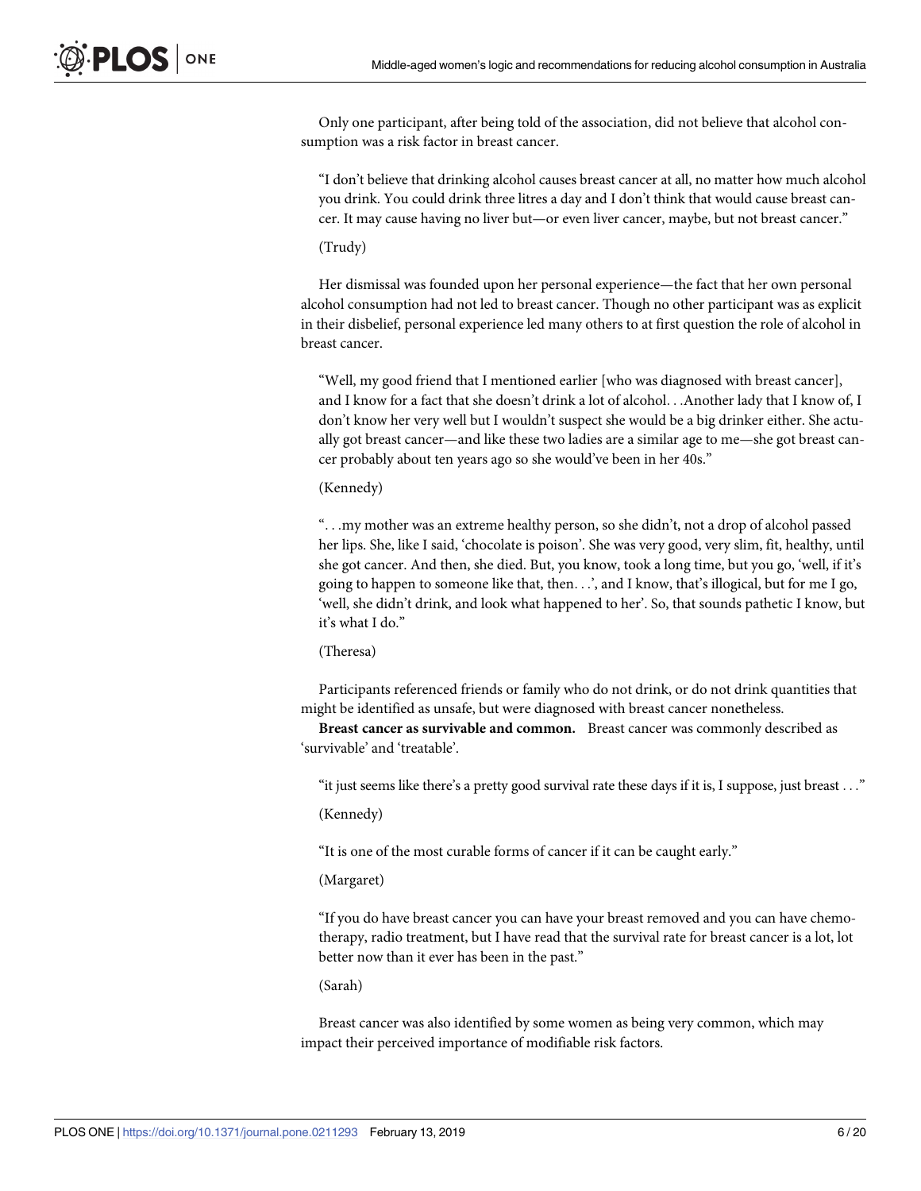Only one participant, after being told of the association, did not believe that alcohol consumption was a risk factor in breast cancer.

"I don't believe that drinking alcohol causes breast cancer at all, no matter how much alcohol you drink. You could drink three litres a day and I don't think that would cause breast cancer. It may cause having no liver but—or even liver cancer, maybe, but not breast cancer."

(Trudy)

Her dismissal was founded upon her personal experience—the fact that her own personal alcohol consumption had not led to breast cancer. Though no other participant was as explicit in their disbelief, personal experience led many others to at first question the role of alcohol in breast cancer.

"Well, my good friend that I mentioned earlier [who was diagnosed with breast cancer], and I know for a fact that she doesn't drink a lot of alcohol. . .Another lady that I know of, I don't know her very well but I wouldn't suspect she would be a big drinker either. She actually got breast cancer—and like these two ladies are a similar age to me—she got breast cancer probably about ten years ago so she would've been in her 40s."

(Kennedy)

". . .my mother was an extreme healthy person, so she didn't, not a drop of alcohol passed her lips. She, like I said, 'chocolate is poison'. She was very good, very slim, fit, healthy, until she got cancer. And then, she died. But, you know, took a long time, but you go, 'well, if it's going to happen to someone like that, then. . .', and I know, that's illogical, but for me I go, 'well, she didn't drink, and look what happened to her'. So, that sounds pathetic I know, but it's what I do."

(Theresa)

Participants referenced friends or family who do not drink, or do not drink quantities that might be identified as unsafe, but were diagnosed with breast cancer nonetheless.

**Breast cancer as survivable and common.** Breast cancer was commonly described as 'survivable' and 'treatable'.

"it just seems like there's a pretty good survival rate these days if it is, I suppose, just breast . . ."

(Kennedy)

"It is one of the most curable forms of cancer if it can be caught early."

(Margaret)

"If you do have breast cancer you can have your breast removed and you can have chemotherapy, radio treatment, but I have read that the survival rate for breast cancer is a lot, lot better now than it ever has been in the past."

(Sarah)

Breast cancer was also identified by some women as being very common, which may impact their perceived importance of modifiable risk factors.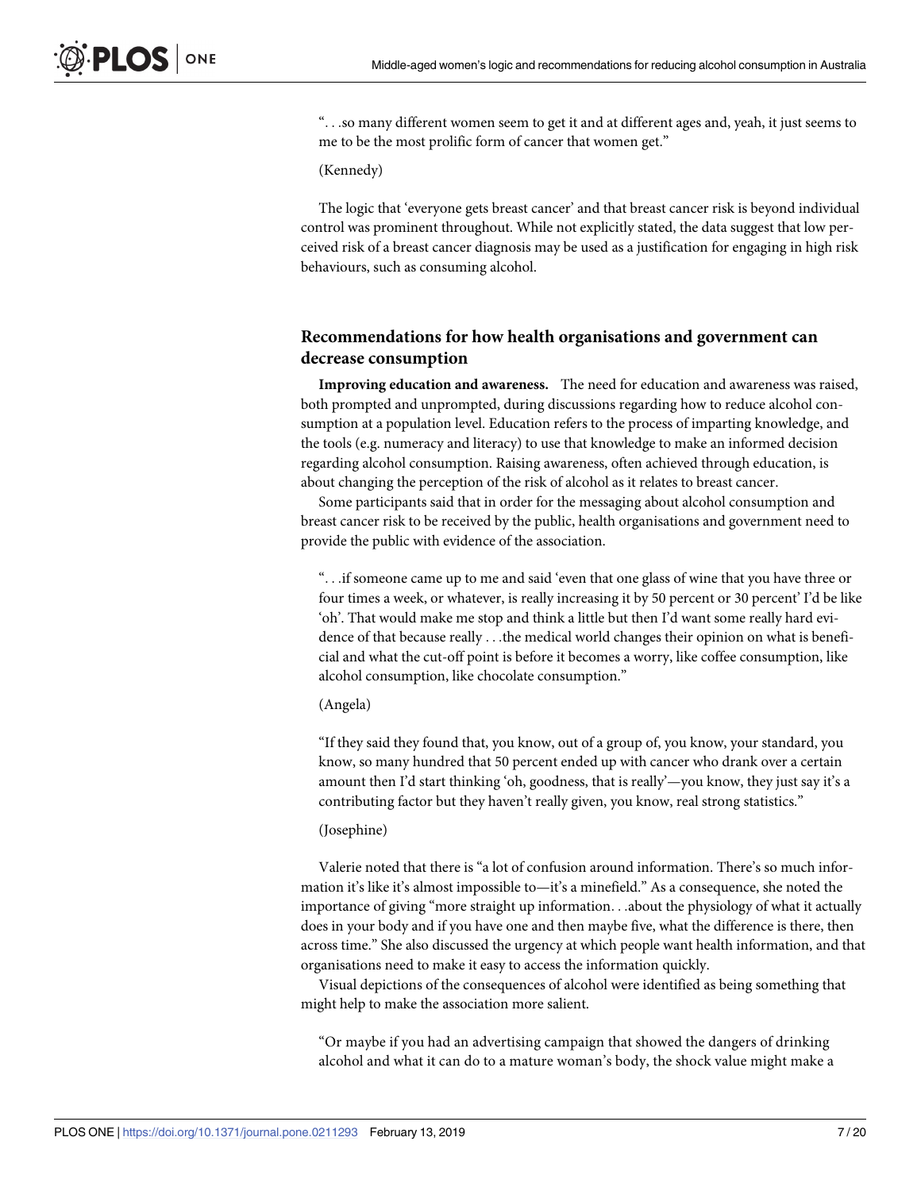". . .so many different women seem to get it and at different ages and, yeah, it just seems to me to be the most prolific form of cancer that women get."

(Kennedy)

The logic that 'everyone gets breast cancer' and that breast cancer risk is beyond individual control was prominent throughout. While not explicitly stated, the data suggest that low perceived risk of a breast cancer diagnosis may be used as a justification for engaging in high risk behaviours, such as consuming alcohol.

## **Recommendations for how health organisations and government can decrease consumption**

**Improving education and awareness.** The need for education and awareness was raised, both prompted and unprompted, during discussions regarding how to reduce alcohol consumption at a population level. Education refers to the process of imparting knowledge, and the tools (e.g. numeracy and literacy) to use that knowledge to make an informed decision regarding alcohol consumption. Raising awareness, often achieved through education, is about changing the perception of the risk of alcohol as it relates to breast cancer.

Some participants said that in order for the messaging about alcohol consumption and breast cancer risk to be received by the public, health organisations and government need to provide the public with evidence of the association.

". . .if someone came up to me and said 'even that one glass of wine that you have three or four times a week, or whatever, is really increasing it by 50 percent or 30 percent' I'd be like 'oh'. That would make me stop and think a little but then I'd want some really hard evidence of that because really . . .the medical world changes their opinion on what is beneficial and what the cut-off point is before it becomes a worry, like coffee consumption, like alcohol consumption, like chocolate consumption."

#### (Angela)

"If they said they found that, you know, out of a group of, you know, your standard, you know, so many hundred that 50 percent ended up with cancer who drank over a certain amount then I'd start thinking 'oh, goodness, that is really'—you know, they just say it's a contributing factor but they haven't really given, you know, real strong statistics."

#### (Josephine)

Valerie noted that there is "a lot of confusion around information. There's so much information it's like it's almost impossible to—it's a minefield." As a consequence, she noted the importance of giving "more straight up information. . .about the physiology of what it actually does in your body and if you have one and then maybe five, what the difference is there, then across time." She also discussed the urgency at which people want health information, and that organisations need to make it easy to access the information quickly.

Visual depictions of the consequences of alcohol were identified as being something that might help to make the association more salient.

"Or maybe if you had an advertising campaign that showed the dangers of drinking alcohol and what it can do to a mature woman's body, the shock value might make a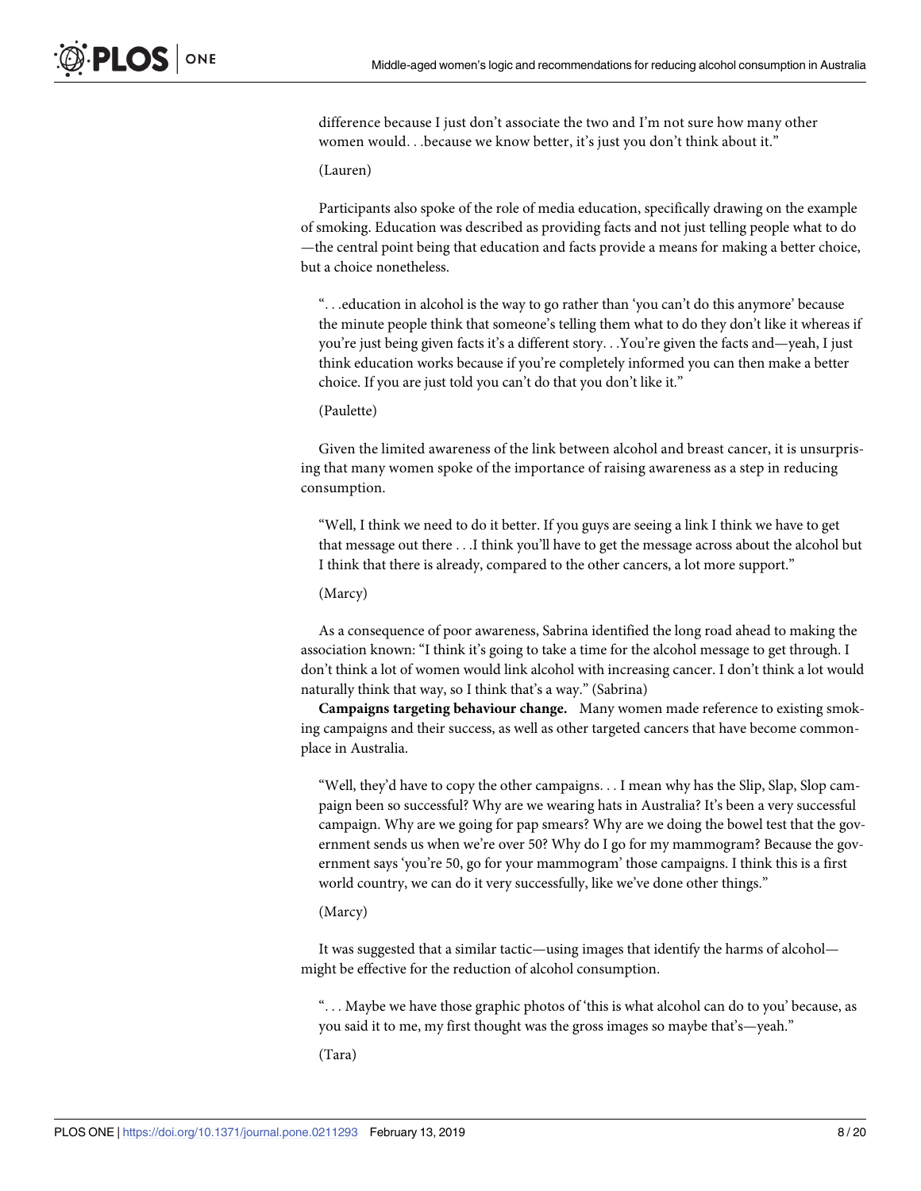difference because I just don't associate the two and I'm not sure how many other women would. . .because we know better, it's just you don't think about it."

(Lauren)

Participants also spoke of the role of media education, specifically drawing on the example of smoking. Education was described as providing facts and not just telling people what to do —the central point being that education and facts provide a means for making a better choice, but a choice nonetheless.

". . .education in alcohol is the way to go rather than 'you can't do this anymore' because the minute people think that someone's telling them what to do they don't like it whereas if you're just being given facts it's a different story. . .You're given the facts and—yeah, I just think education works because if you're completely informed you can then make a better choice. If you are just told you can't do that you don't like it."

(Paulette)

Given the limited awareness of the link between alcohol and breast cancer, it is unsurprising that many women spoke of the importance of raising awareness as a step in reducing consumption.

"Well, I think we need to do it better. If you guys are seeing a link I think we have to get that message out there . . .I think you'll have to get the message across about the alcohol but I think that there is already, compared to the other cancers, a lot more support."

(Marcy)

As a consequence of poor awareness, Sabrina identified the long road ahead to making the association known: "I think it's going to take a time for the alcohol message to get through. I don't think a lot of women would link alcohol with increasing cancer. I don't think a lot would naturally think that way, so I think that's a way." (Sabrina)

**Campaigns targeting behaviour change.** Many women made reference to existing smoking campaigns and their success, as well as other targeted cancers that have become commonplace in Australia.

"Well, they'd have to copy the other campaigns. . . I mean why has the Slip, Slap, Slop campaign been so successful? Why are we wearing hats in Australia? It's been a very successful campaign. Why are we going for pap smears? Why are we doing the bowel test that the government sends us when we're over 50? Why do I go for my mammogram? Because the government says 'you're 50, go for your mammogram' those campaigns. I think this is a first world country, we can do it very successfully, like we've done other things."

#### (Marcy)

It was suggested that a similar tactic—using images that identify the harms of alcohol might be effective for the reduction of alcohol consumption.

". . . Maybe we have those graphic photos of 'this is what alcohol can do to you' because, as you said it to me, my first thought was the gross images so maybe that's—yeah."

(Tara)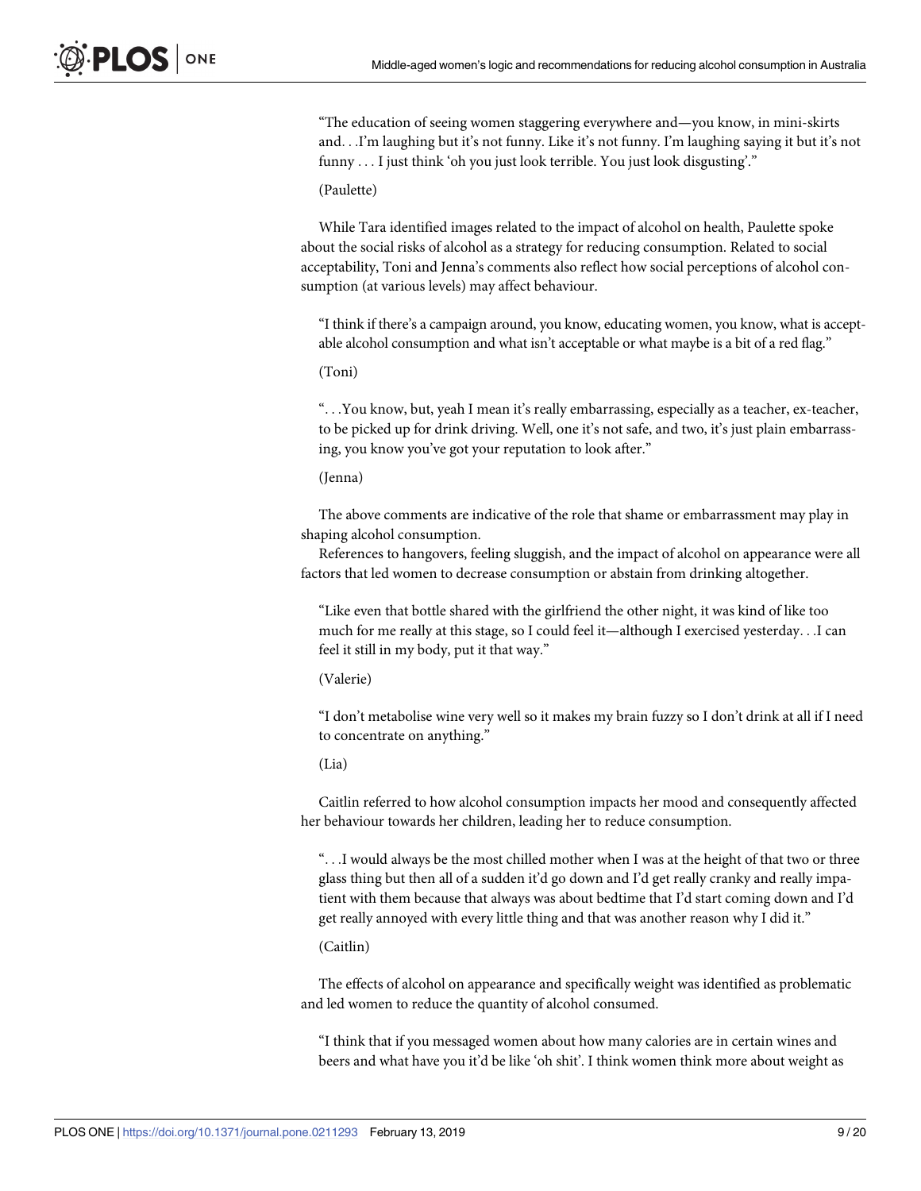"The education of seeing women staggering everywhere and—you know, in mini-skirts and. . .I'm laughing but it's not funny. Like it's not funny. I'm laughing saying it but it's not funny . . . I just think 'oh you just look terrible. You just look disgusting'."

#### (Paulette)

While Tara identified images related to the impact of alcohol on health, Paulette spoke about the social risks of alcohol as a strategy for reducing consumption. Related to social acceptability, Toni and Jenna's comments also reflect how social perceptions of alcohol consumption (at various levels) may affect behaviour.

"I think if there's a campaign around, you know, educating women, you know, what is acceptable alcohol consumption and what isn't acceptable or what maybe is a bit of a red flag."

(Toni)

". . .You know, but, yeah I mean it's really embarrassing, especially as a teacher, ex-teacher, to be picked up for drink driving. Well, one it's not safe, and two, it's just plain embarrassing, you know you've got your reputation to look after."

(Jenna)

The above comments are indicative of the role that shame or embarrassment may play in shaping alcohol consumption.

References to hangovers, feeling sluggish, and the impact of alcohol on appearance were all factors that led women to decrease consumption or abstain from drinking altogether.

"Like even that bottle shared with the girlfriend the other night, it was kind of like too much for me really at this stage, so I could feel it—although I exercised yesterday. . .I can feel it still in my body, put it that way."

(Valerie)

"I don't metabolise wine very well so it makes my brain fuzzy so I don't drink at all if I need to concentrate on anything."

(Lia)

Caitlin referred to how alcohol consumption impacts her mood and consequently affected her behaviour towards her children, leading her to reduce consumption.

". . .I would always be the most chilled mother when I was at the height of that two or three glass thing but then all of a sudden it'd go down and I'd get really cranky and really impatient with them because that always was about bedtime that I'd start coming down and I'd get really annoyed with every little thing and that was another reason why I did it."

(Caitlin)

The effects of alcohol on appearance and specifically weight was identified as problematic and led women to reduce the quantity of alcohol consumed.

"I think that if you messaged women about how many calories are in certain wines and beers and what have you it'd be like 'oh shit'. I think women think more about weight as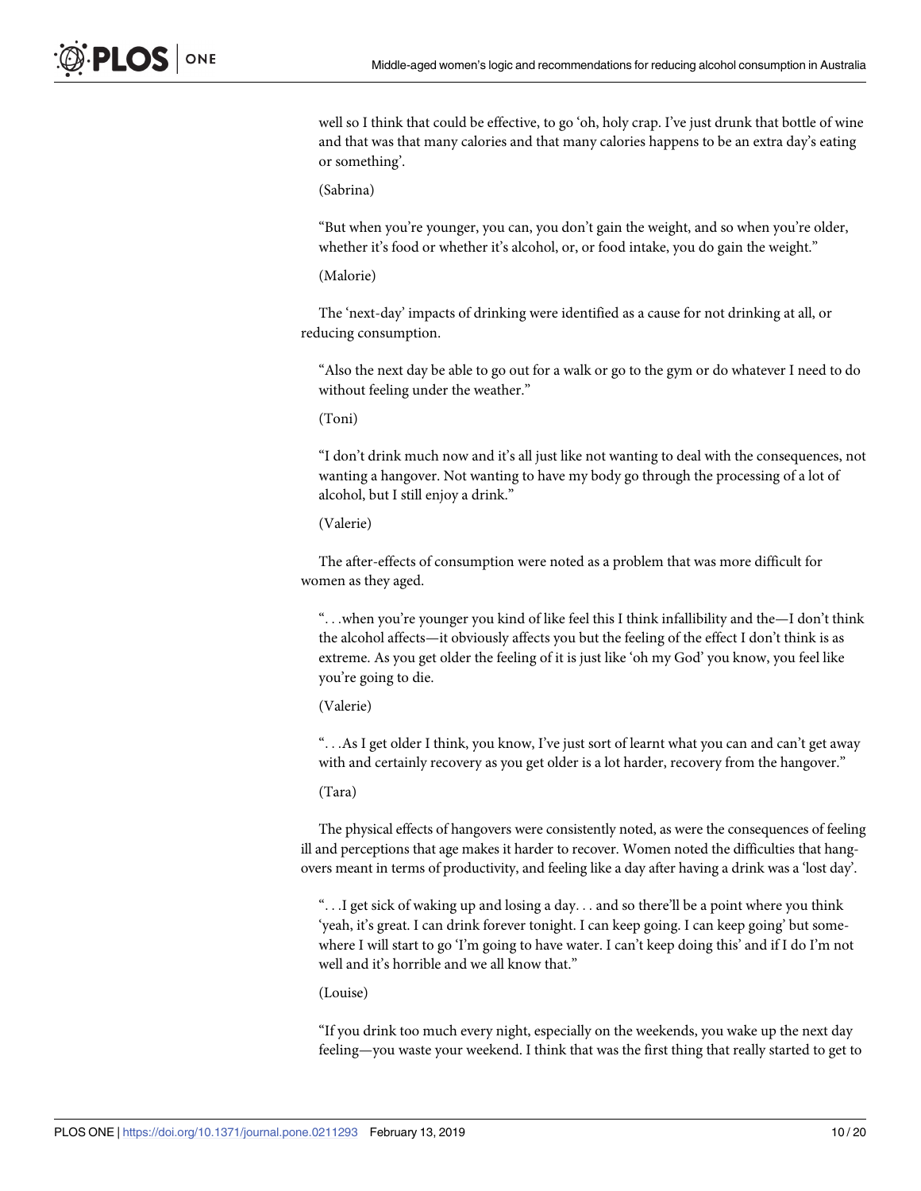well so I think that could be effective, to go 'oh, holy crap. I've just drunk that bottle of wine and that was that many calories and that many calories happens to be an extra day's eating or something'.

(Sabrina)

"But when you're younger, you can, you don't gain the weight, and so when you're older, whether it's food or whether it's alcohol, or, or food intake, you do gain the weight."

(Malorie)

The 'next-day' impacts of drinking were identified as a cause for not drinking at all, or reducing consumption.

"Also the next day be able to go out for a walk or go to the gym or do whatever I need to do without feeling under the weather."

(Toni)

"I don't drink much now and it's all just like not wanting to deal with the consequences, not wanting a hangover. Not wanting to have my body go through the processing of a lot of alcohol, but I still enjoy a drink."

(Valerie)

The after-effects of consumption were noted as a problem that was more difficult for women as they aged.

". . .when you're younger you kind of like feel this I think infallibility and the—I don't think the alcohol affects—it obviously affects you but the feeling of the effect I don't think is as extreme. As you get older the feeling of it is just like 'oh my God' you know, you feel like you're going to die.

(Valerie)

". . .As I get older I think, you know, I've just sort of learnt what you can and can't get away with and certainly recovery as you get older is a lot harder, recovery from the hangover."

(Tara)

The physical effects of hangovers were consistently noted, as were the consequences of feeling ill and perceptions that age makes it harder to recover. Women noted the difficulties that hangovers meant in terms of productivity, and feeling like a day after having a drink was a 'lost day'.

". . .I get sick of waking up and losing a day. . . and so there'll be a point where you think 'yeah, it's great. I can drink forever tonight. I can keep going. I can keep going' but somewhere I will start to go 'I'm going to have water. I can't keep doing this' and if I do I'm not well and it's horrible and we all know that."

(Louise)

"If you drink too much every night, especially on the weekends, you wake up the next day feeling—you waste your weekend. I think that was the first thing that really started to get to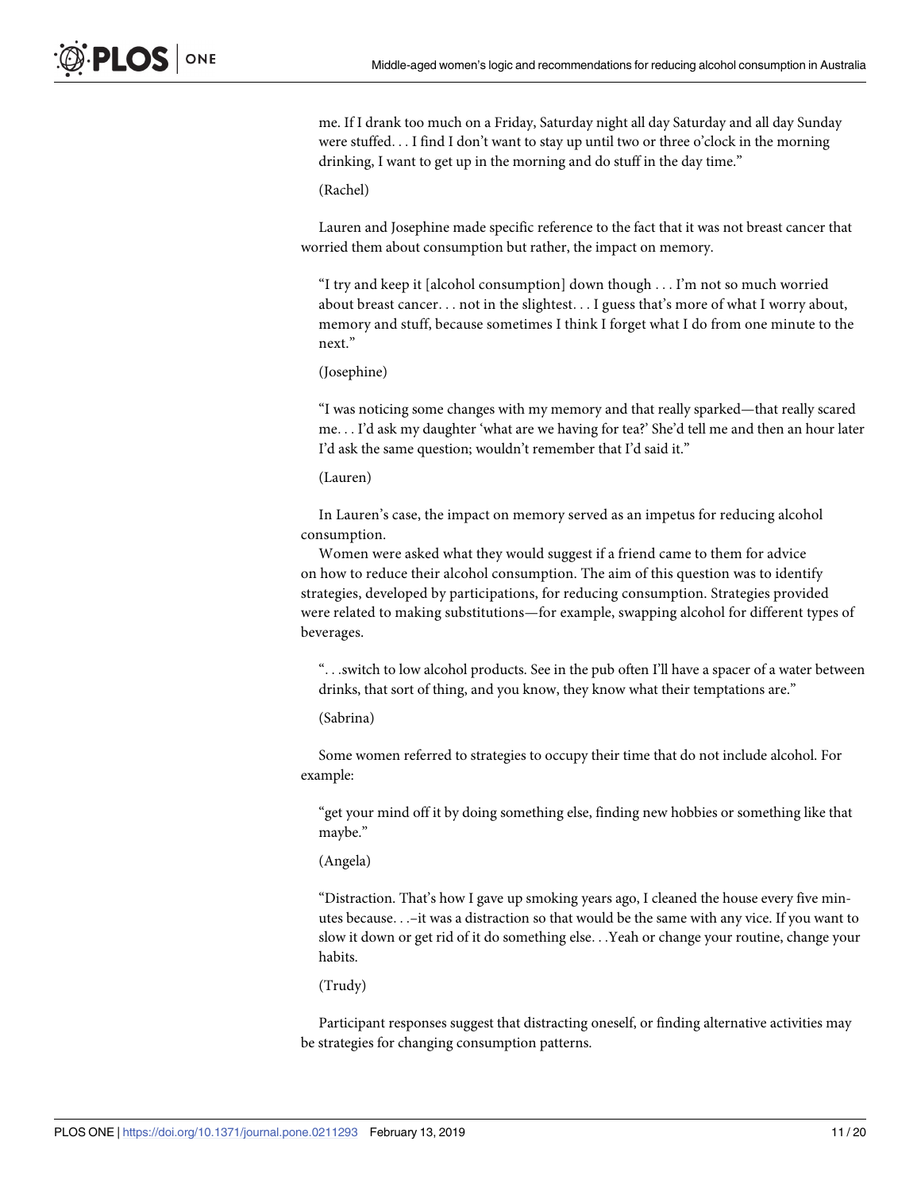me. If I drank too much on a Friday, Saturday night all day Saturday and all day Sunday were stuffed. . . I find I don't want to stay up until two or three o'clock in the morning drinking, I want to get up in the morning and do stuff in the day time."

(Rachel)

Lauren and Josephine made specific reference to the fact that it was not breast cancer that worried them about consumption but rather, the impact on memory.

"I try and keep it [alcohol consumption] down though . . . I'm not so much worried about breast cancer. . . not in the slightest. . . I guess that's more of what I worry about, memory and stuff, because sometimes I think I forget what I do from one minute to the next."

(Josephine)

"I was noticing some changes with my memory and that really sparked—that really scared me. . . I'd ask my daughter 'what are we having for tea?' She'd tell me and then an hour later I'd ask the same question; wouldn't remember that I'd said it."

(Lauren)

In Lauren's case, the impact on memory served as an impetus for reducing alcohol consumption.

Women were asked what they would suggest if a friend came to them for advice on how to reduce their alcohol consumption. The aim of this question was to identify strategies, developed by participations, for reducing consumption. Strategies provided were related to making substitutions—for example, swapping alcohol for different types of beverages.

". . .switch to low alcohol products. See in the pub often I'll have a spacer of a water between drinks, that sort of thing, and you know, they know what their temptations are."

(Sabrina)

Some women referred to strategies to occupy their time that do not include alcohol. For example:

"get your mind off it by doing something else, finding new hobbies or something like that maybe."

(Angela)

"Distraction. That's how I gave up smoking years ago, I cleaned the house every five minutes because. . .–it was a distraction so that would be the same with any vice. If you want to slow it down or get rid of it do something else. . .Yeah or change your routine, change your habits.

(Trudy)

Participant responses suggest that distracting oneself, or finding alternative activities may be strategies for changing consumption patterns.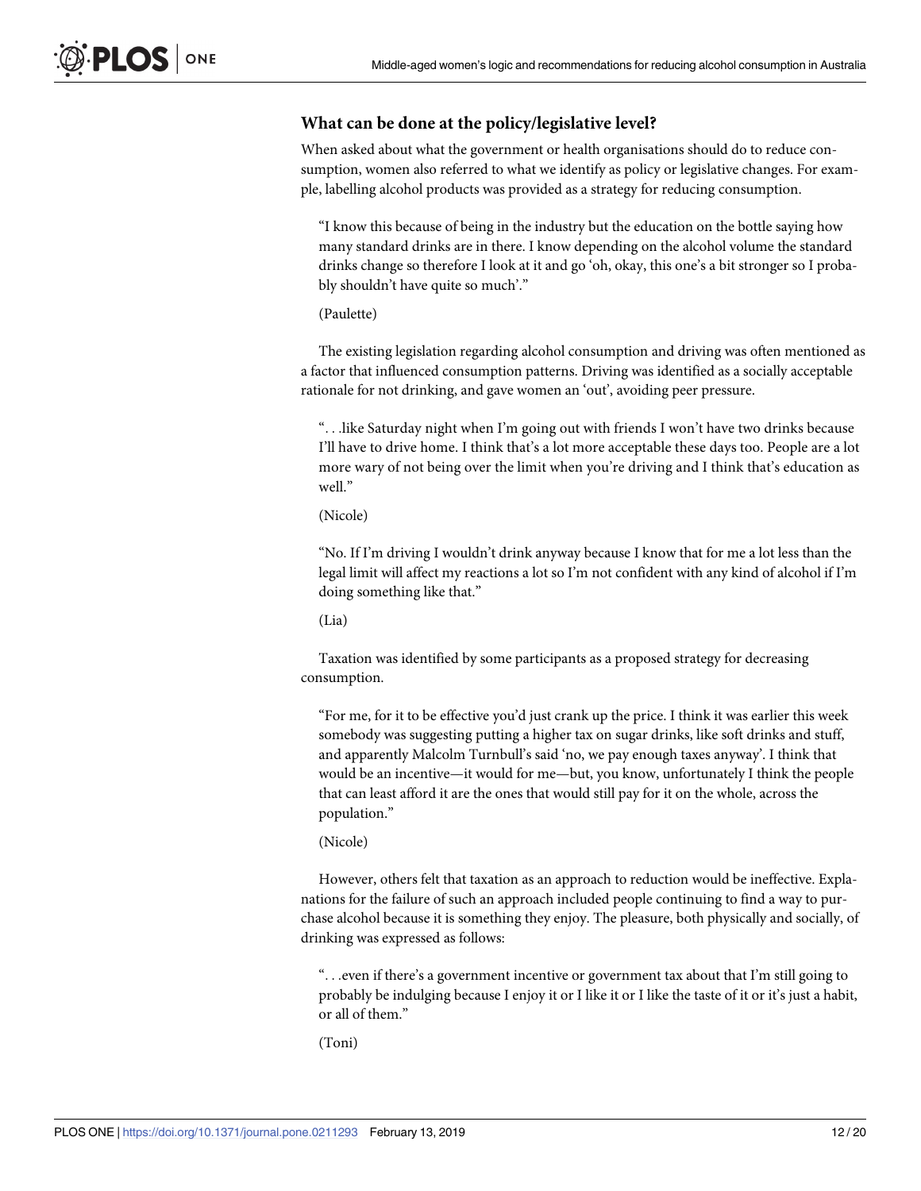### **What can be done at the policy/legislative level?**

When asked about what the government or health organisations should do to reduce consumption, women also referred to what we identify as policy or legislative changes. For example, labelling alcohol products was provided as a strategy for reducing consumption.

"I know this because of being in the industry but the education on the bottle saying how many standard drinks are in there. I know depending on the alcohol volume the standard drinks change so therefore I look at it and go 'oh, okay, this one's a bit stronger so I probably shouldn't have quite so much'."

(Paulette)

The existing legislation regarding alcohol consumption and driving was often mentioned as a factor that influenced consumption patterns. Driving was identified as a socially acceptable rationale for not drinking, and gave women an 'out', avoiding peer pressure.

". . .like Saturday night when I'm going out with friends I won't have two drinks because I'll have to drive home. I think that's a lot more acceptable these days too. People are a lot more wary of not being over the limit when you're driving and I think that's education as well."

(Nicole)

"No. If I'm driving I wouldn't drink anyway because I know that for me a lot less than the legal limit will affect my reactions a lot so I'm not confident with any kind of alcohol if I'm doing something like that."

(Lia)

Taxation was identified by some participants as a proposed strategy for decreasing consumption.

"For me, for it to be effective you'd just crank up the price. I think it was earlier this week somebody was suggesting putting a higher tax on sugar drinks, like soft drinks and stuff, and apparently Malcolm Turnbull's said 'no, we pay enough taxes anyway'. I think that would be an incentive—it would for me—but, you know, unfortunately I think the people that can least afford it are the ones that would still pay for it on the whole, across the population."

(Nicole)

However, others felt that taxation as an approach to reduction would be ineffective. Explanations for the failure of such an approach included people continuing to find a way to purchase alcohol because it is something they enjoy. The pleasure, both physically and socially, of drinking was expressed as follows:

". . .even if there's a government incentive or government tax about that I'm still going to probably be indulging because I enjoy it or I like it or I like the taste of it or it's just a habit, or all of them."

(Toni)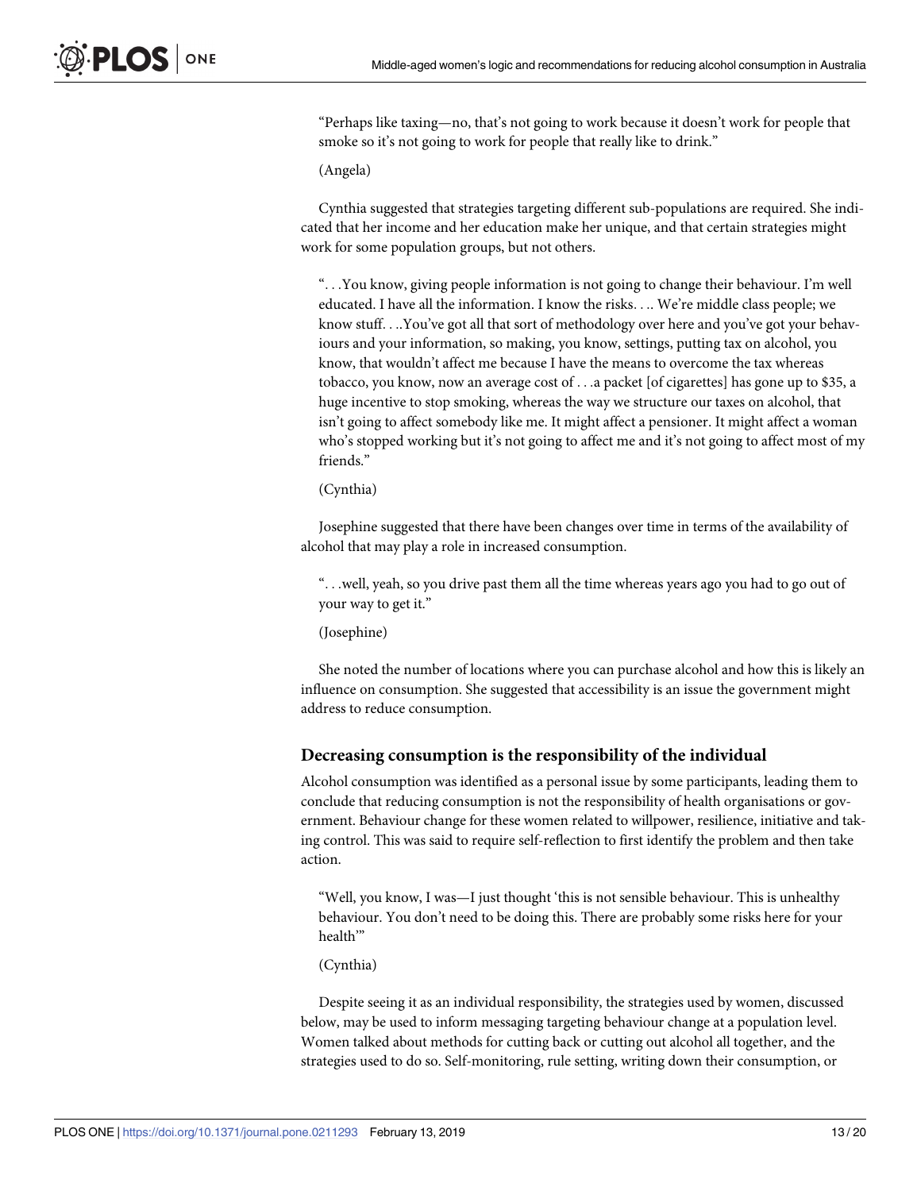"Perhaps like taxing—no, that's not going to work because it doesn't work for people that smoke so it's not going to work for people that really like to drink."

(Angela)

Cynthia suggested that strategies targeting different sub-populations are required. She indicated that her income and her education make her unique, and that certain strategies might work for some population groups, but not others.

". . .You know, giving people information is not going to change their behaviour. I'm well educated. I have all the information. I know the risks. . .. We're middle class people; we know stuff. . ..You've got all that sort of methodology over here and you've got your behaviours and your information, so making, you know, settings, putting tax on alcohol, you know, that wouldn't affect me because I have the means to overcome the tax whereas tobacco, you know, now an average cost of . . .a packet [of cigarettes] has gone up to \$35, a huge incentive to stop smoking, whereas the way we structure our taxes on alcohol, that isn't going to affect somebody like me. It might affect a pensioner. It might affect a woman who's stopped working but it's not going to affect me and it's not going to affect most of my friends."

(Cynthia)

Josephine suggested that there have been changes over time in terms of the availability of alcohol that may play a role in increased consumption.

". . .well, yeah, so you drive past them all the time whereas years ago you had to go out of your way to get it."

(Josephine)

She noted the number of locations where you can purchase alcohol and how this is likely an influence on consumption. She suggested that accessibility is an issue the government might address to reduce consumption.

#### **Decreasing consumption is the responsibility of the individual**

Alcohol consumption was identified as a personal issue by some participants, leading them to conclude that reducing consumption is not the responsibility of health organisations or government. Behaviour change for these women related to willpower, resilience, initiative and taking control. This was said to require self-reflection to first identify the problem and then take action.

"Well, you know, I was—I just thought 'this is not sensible behaviour. This is unhealthy behaviour. You don't need to be doing this. There are probably some risks here for your health'"

(Cynthia)

Despite seeing it as an individual responsibility, the strategies used by women, discussed below, may be used to inform messaging targeting behaviour change at a population level. Women talked about methods for cutting back or cutting out alcohol all together, and the strategies used to do so. Self-monitoring, rule setting, writing down their consumption, or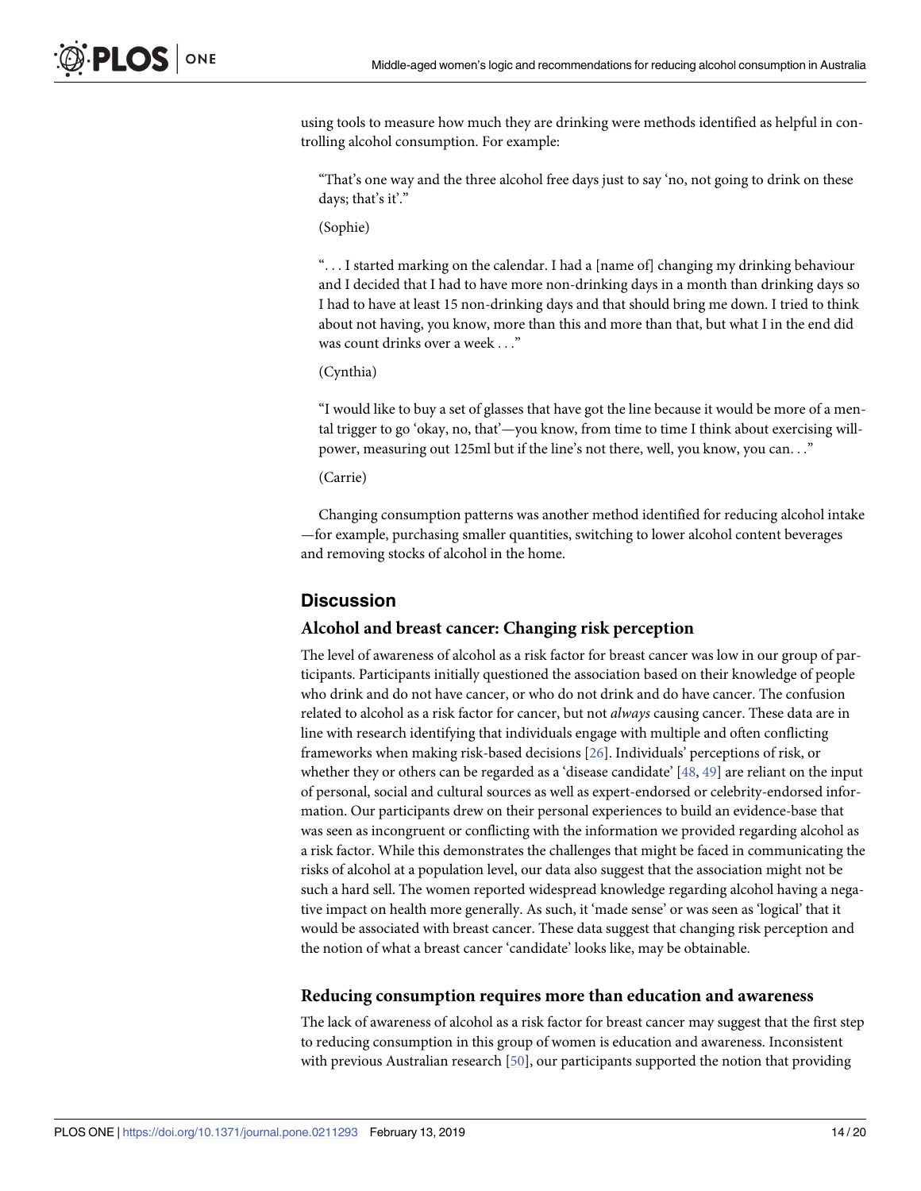<span id="page-13-0"></span>using tools to measure how much they are drinking were methods identified as helpful in controlling alcohol consumption. For example:

"That's one way and the three alcohol free days just to say 'no, not going to drink on these days; that's it'."

(Sophie)

". . . I started marking on the calendar. I had a [name of] changing my drinking behaviour and I decided that I had to have more non-drinking days in a month than drinking days so I had to have at least 15 non-drinking days and that should bring me down. I tried to think about not having, you know, more than this and more than that, but what I in the end did was count drinks over a week . . ."

(Cynthia)

"I would like to buy a set of glasses that have got the line because it would be more of a mental trigger to go 'okay, no, that'—you know, from time to time I think about exercising willpower, measuring out 125ml but if the line's not there, well, you know, you can. . ."

(Carrie)

Changing consumption patterns was another method identified for reducing alcohol intake —for example, purchasing smaller quantities, switching to lower alcohol content beverages and removing stocks of alcohol in the home.

#### **Discussion**

#### **Alcohol and breast cancer: Changing risk perception**

The level of awareness of alcohol as a risk factor for breast cancer was low in our group of participants. Participants initially questioned the association based on their knowledge of people who drink and do not have cancer, or who do not drink and do have cancer. The confusion related to alcohol as a risk factor for cancer, but not *always* causing cancer. These data are in line with research identifying that individuals engage with multiple and often conflicting frameworks when making risk-based decisions [\[26](#page-18-0)]. Individuals' perceptions of risk, or whether they or others can be regarded as a 'disease candidate' [\[48,](#page-19-0) [49\]](#page-19-0) are reliant on the input of personal, social and cultural sources as well as expert-endorsed or celebrity-endorsed information. Our participants drew on their personal experiences to build an evidence-base that was seen as incongruent or conflicting with the information we provided regarding alcohol as a risk factor. While this demonstrates the challenges that might be faced in communicating the risks of alcohol at a population level, our data also suggest that the association might not be such a hard sell. The women reported widespread knowledge regarding alcohol having a negative impact on health more generally. As such, it 'made sense' or was seen as 'logical' that it would be associated with breast cancer. These data suggest that changing risk perception and the notion of what a breast cancer 'candidate' looks like, may be obtainable.

#### **Reducing consumption requires more than education and awareness**

The lack of awareness of alcohol as a risk factor for breast cancer may suggest that the first step to reducing consumption in this group of women is education and awareness. Inconsistent with previous Australian research [\[50\]](#page-19-0), our participants supported the notion that providing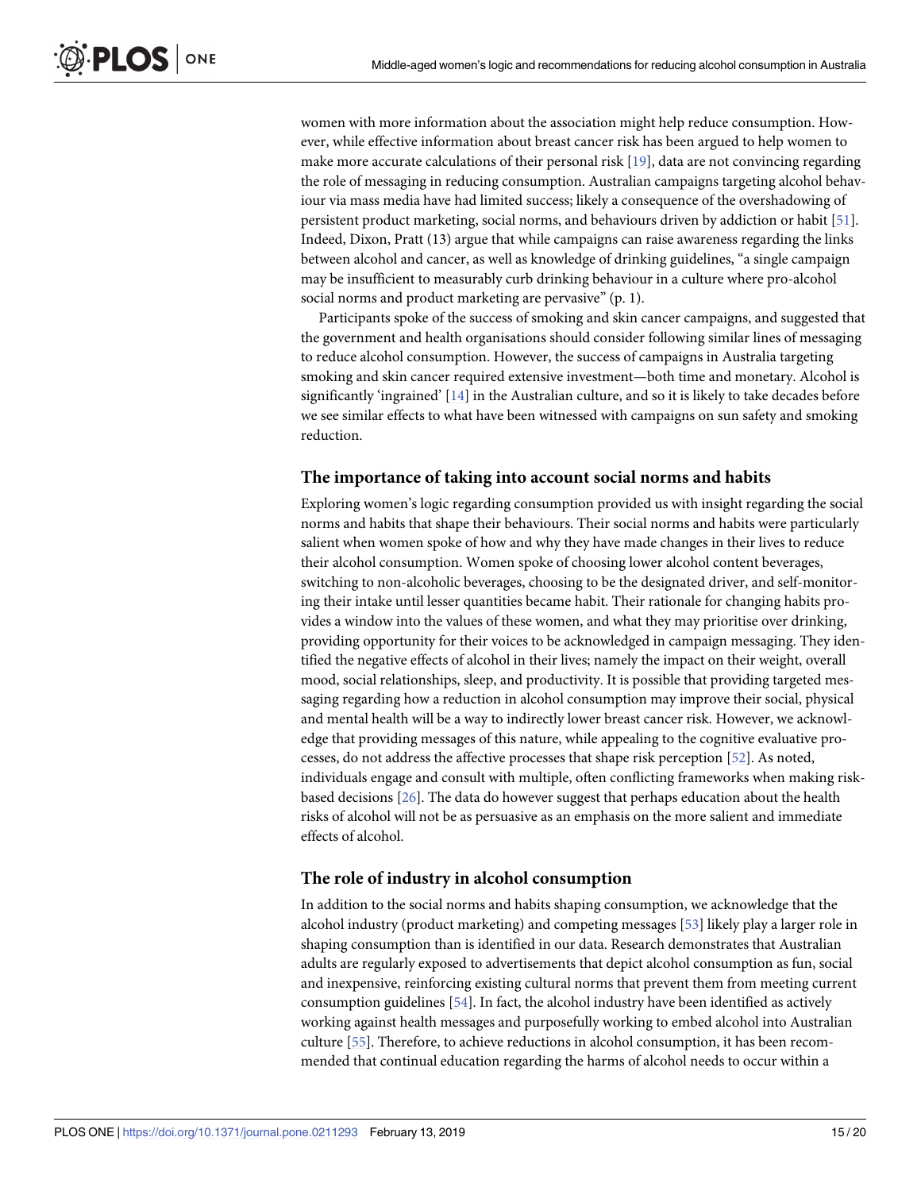<span id="page-14-0"></span>women with more information about the association might help reduce consumption. However, while effective information about breast cancer risk has been argued to help women to make more accurate calculations of their personal risk [\[19\]](#page-18-0), data are not convincing regarding the role of messaging in reducing consumption. Australian campaigns targeting alcohol behaviour via mass media have had limited success; likely a consequence of the overshadowing of persistent product marketing, social norms, and behaviours driven by addiction or habit [\[51\]](#page-19-0). Indeed, Dixon, Pratt (13) argue that while campaigns can raise awareness regarding the links between alcohol and cancer, as well as knowledge of drinking guidelines, "a single campaign may be insufficient to measurably curb drinking behaviour in a culture where pro-alcohol social norms and product marketing are pervasive" (p. 1).

Participants spoke of the success of smoking and skin cancer campaigns, and suggested that the government and health organisations should consider following similar lines of messaging to reduce alcohol consumption. However, the success of campaigns in Australia targeting smoking and skin cancer required extensive investment—both time and monetary. Alcohol is significantly 'ingrained' [\[14\]](#page-17-0) in the Australian culture, and so it is likely to take decades before we see similar effects to what have been witnessed with campaigns on sun safety and smoking reduction.

## **The importance of taking into account social norms and habits**

Exploring women's logic regarding consumption provided us with insight regarding the social norms and habits that shape their behaviours. Their social norms and habits were particularly salient when women spoke of how and why they have made changes in their lives to reduce their alcohol consumption. Women spoke of choosing lower alcohol content beverages, switching to non-alcoholic beverages, choosing to be the designated driver, and self-monitoring their intake until lesser quantities became habit. Their rationale for changing habits provides a window into the values of these women, and what they may prioritise over drinking, providing opportunity for their voices to be acknowledged in campaign messaging. They identified the negative effects of alcohol in their lives; namely the impact on their weight, overall mood, social relationships, sleep, and productivity. It is possible that providing targeted messaging regarding how a reduction in alcohol consumption may improve their social, physical and mental health will be a way to indirectly lower breast cancer risk. However, we acknowledge that providing messages of this nature, while appealing to the cognitive evaluative processes, do not address the affective processes that shape risk perception [\[52\]](#page-19-0). As noted, individuals engage and consult with multiple, often conflicting frameworks when making riskbased decisions [\[26\]](#page-18-0). The data do however suggest that perhaps education about the health risks of alcohol will not be as persuasive as an emphasis on the more salient and immediate effects of alcohol.

## **The role of industry in alcohol consumption**

In addition to the social norms and habits shaping consumption, we acknowledge that the alcohol industry (product marketing) and competing messages [\[53\]](#page-19-0) likely play a larger role in shaping consumption than is identified in our data. Research demonstrates that Australian adults are regularly exposed to advertisements that depict alcohol consumption as fun, social and inexpensive, reinforcing existing cultural norms that prevent them from meeting current consumption guidelines [[54](#page-19-0)]. In fact, the alcohol industry have been identified as actively working against health messages and purposefully working to embed alcohol into Australian culture [[55](#page-19-0)]. Therefore, to achieve reductions in alcohol consumption, it has been recommended that continual education regarding the harms of alcohol needs to occur within a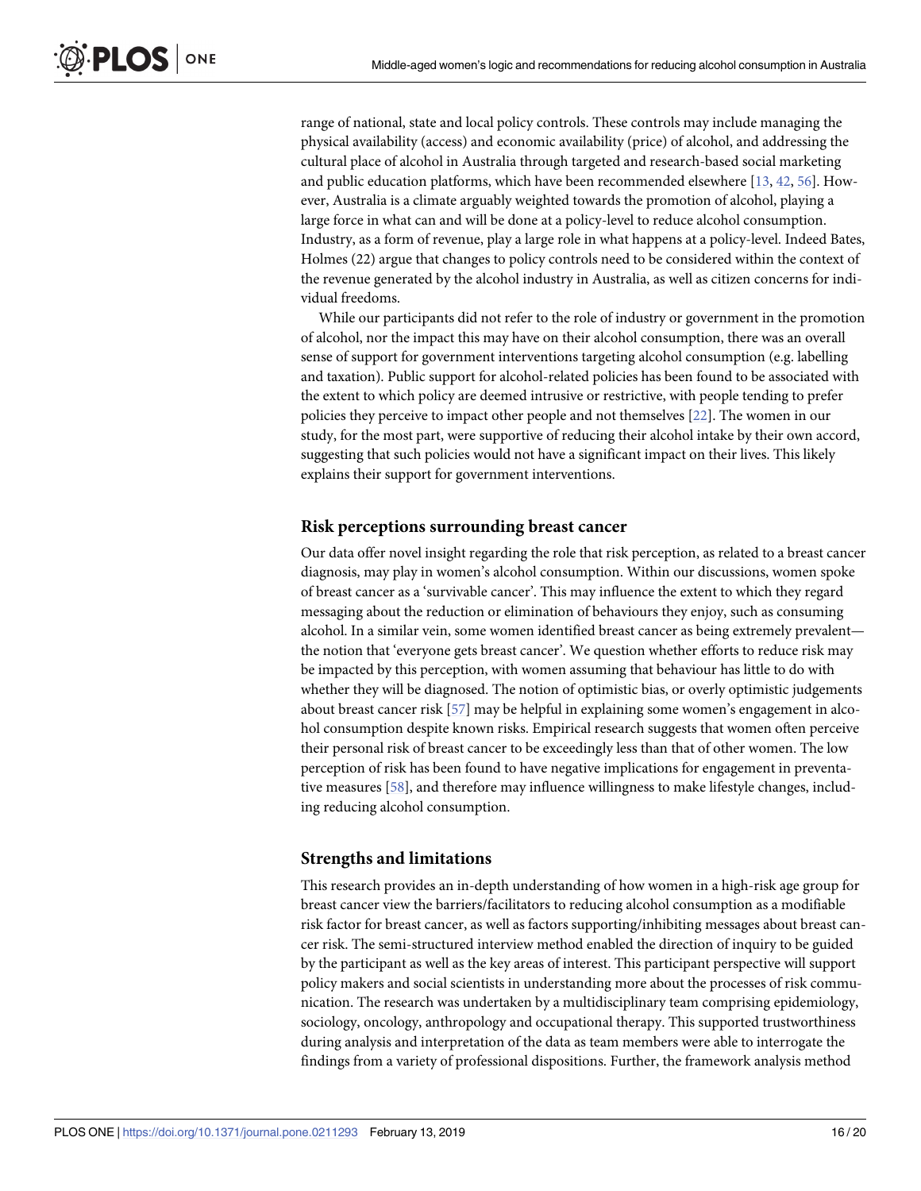<span id="page-15-0"></span>range of national, state and local policy controls. These controls may include managing the physical availability (access) and economic availability (price) of alcohol, and addressing the cultural place of alcohol in Australia through targeted and research-based social marketing and public education platforms, which have been recommended elsewhere [\[13,](#page-17-0) [42,](#page-19-0) [56\]](#page-19-0). However, Australia is a climate arguably weighted towards the promotion of alcohol, playing a large force in what can and will be done at a policy-level to reduce alcohol consumption. Industry, as a form of revenue, play a large role in what happens at a policy-level. Indeed Bates, Holmes (22) argue that changes to policy controls need to be considered within the context of the revenue generated by the alcohol industry in Australia, as well as citizen concerns for individual freedoms.

While our participants did not refer to the role of industry or government in the promotion of alcohol, nor the impact this may have on their alcohol consumption, there was an overall sense of support for government interventions targeting alcohol consumption (e.g. labelling and taxation). Public support for alcohol-related policies has been found to be associated with the extent to which policy are deemed intrusive or restrictive, with people tending to prefer policies they perceive to impact other people and not themselves [[22](#page-18-0)]. The women in our study, for the most part, were supportive of reducing their alcohol intake by their own accord, suggesting that such policies would not have a significant impact on their lives. This likely explains their support for government interventions.

## **Risk perceptions surrounding breast cancer**

Our data offer novel insight regarding the role that risk perception, as related to a breast cancer diagnosis, may play in women's alcohol consumption. Within our discussions, women spoke of breast cancer as a 'survivable cancer'. This may influence the extent to which they regard messaging about the reduction or elimination of behaviours they enjoy, such as consuming alcohol. In a similar vein, some women identified breast cancer as being extremely prevalent the notion that 'everyone gets breast cancer'. We question whether efforts to reduce risk may be impacted by this perception, with women assuming that behaviour has little to do with whether they will be diagnosed. The notion of optimistic bias, or overly optimistic judgements about breast cancer risk [\[57\]](#page-19-0) may be helpful in explaining some women's engagement in alcohol consumption despite known risks. Empirical research suggests that women often perceive their personal risk of breast cancer to be exceedingly less than that of other women. The low perception of risk has been found to have negative implications for engagement in preventative measures [\[58\]](#page-19-0), and therefore may influence willingness to make lifestyle changes, including reducing alcohol consumption.

## **Strengths and limitations**

This research provides an in-depth understanding of how women in a high-risk age group for breast cancer view the barriers/facilitators to reducing alcohol consumption as a modifiable risk factor for breast cancer, as well as factors supporting/inhibiting messages about breast cancer risk. The semi-structured interview method enabled the direction of inquiry to be guided by the participant as well as the key areas of interest. This participant perspective will support policy makers and social scientists in understanding more about the processes of risk communication. The research was undertaken by a multidisciplinary team comprising epidemiology, sociology, oncology, anthropology and occupational therapy. This supported trustworthiness during analysis and interpretation of the data as team members were able to interrogate the findings from a variety of professional dispositions. Further, the framework analysis method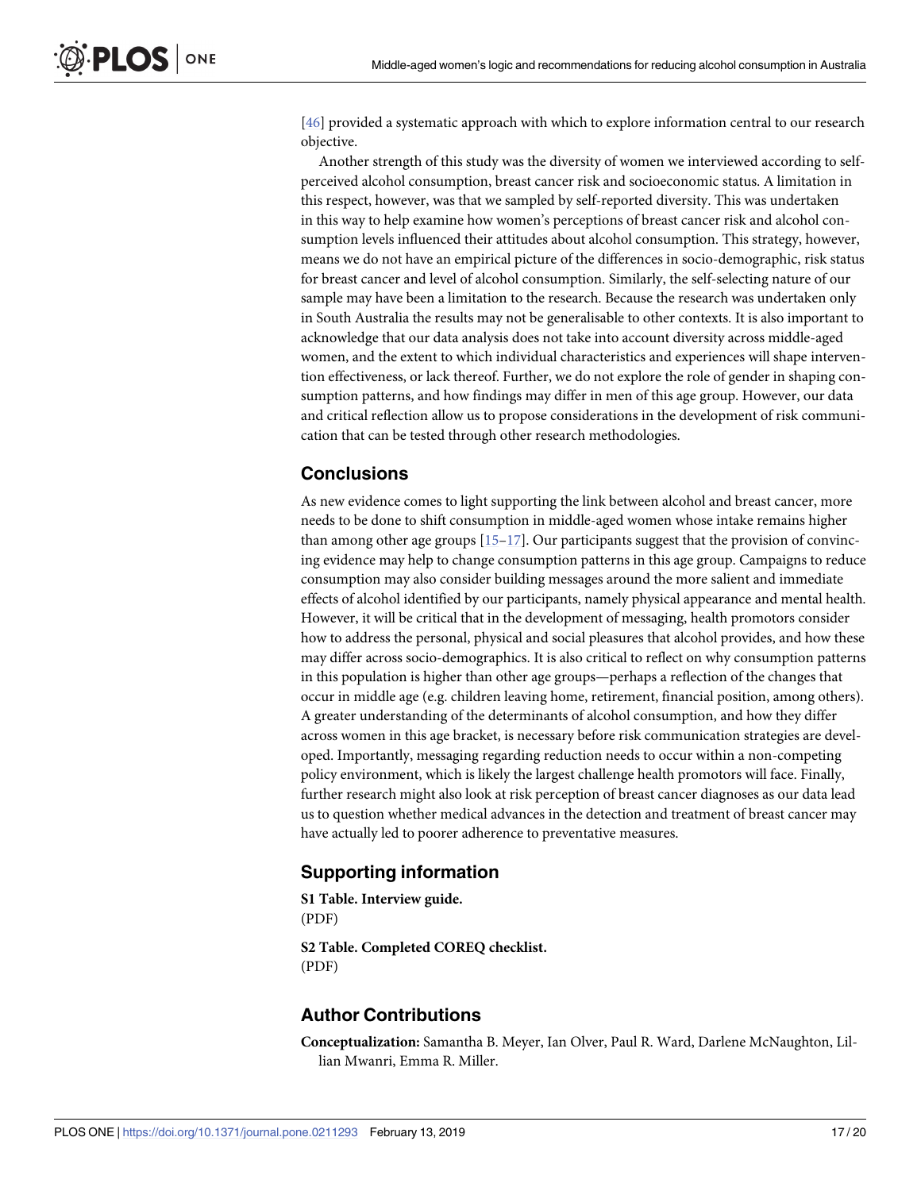<span id="page-16-0"></span>[\[46\]](#page-19-0) provided a systematic approach with which to explore information central to our research objective.

Another strength of this study was the diversity of women we interviewed according to selfperceived alcohol consumption, breast cancer risk and socioeconomic status. A limitation in this respect, however, was that we sampled by self-reported diversity. This was undertaken in this way to help examine how women's perceptions of breast cancer risk and alcohol consumption levels influenced their attitudes about alcohol consumption. This strategy, however, means we do not have an empirical picture of the differences in socio-demographic, risk status for breast cancer and level of alcohol consumption. Similarly, the self-selecting nature of our sample may have been a limitation to the research. Because the research was undertaken only in South Australia the results may not be generalisable to other contexts. It is also important to acknowledge that our data analysis does not take into account diversity across middle-aged women, and the extent to which individual characteristics and experiences will shape intervention effectiveness, or lack thereof. Further, we do not explore the role of gender in shaping consumption patterns, and how findings may differ in men of this age group. However, our data and critical reflection allow us to propose considerations in the development of risk communication that can be tested through other research methodologies.

## **Conclusions**

As new evidence comes to light supporting the link between alcohol and breast cancer, more needs to be done to shift consumption in middle-aged women whose intake remains higher than among other age groups  $[15-17]$ . Our participants suggest that the provision of convincing evidence may help to change consumption patterns in this age group. Campaigns to reduce consumption may also consider building messages around the more salient and immediate effects of alcohol identified by our participants, namely physical appearance and mental health. However, it will be critical that in the development of messaging, health promotors consider how to address the personal, physical and social pleasures that alcohol provides, and how these may differ across socio-demographics. It is also critical to reflect on why consumption patterns in this population is higher than other age groups—perhaps a reflection of the changes that occur in middle age (e.g. children leaving home, retirement, financial position, among others). A greater understanding of the determinants of alcohol consumption, and how they differ across women in this age bracket, is necessary before risk communication strategies are developed. Importantly, messaging regarding reduction needs to occur within a non-competing policy environment, which is likely the largest challenge health promotors will face. Finally, further research might also look at risk perception of breast cancer diagnoses as our data lead us to question whether medical advances in the detection and treatment of breast cancer may have actually led to poorer adherence to preventative measures.

## **Supporting information**

**S1 [Table.](http://www.plosone.org/article/fetchSingleRepresentation.action?uri=info:doi/10.1371/journal.pone.0211293.s001) Interview guide.** (PDF)

**S2 [Table.](http://www.plosone.org/article/fetchSingleRepresentation.action?uri=info:doi/10.1371/journal.pone.0211293.s002) Completed COREQ checklist.** (PDF)

## **Author Contributions**

**Conceptualization:** Samantha B. Meyer, Ian Olver, Paul R. Ward, Darlene McNaughton, Lillian Mwanri, Emma R. Miller.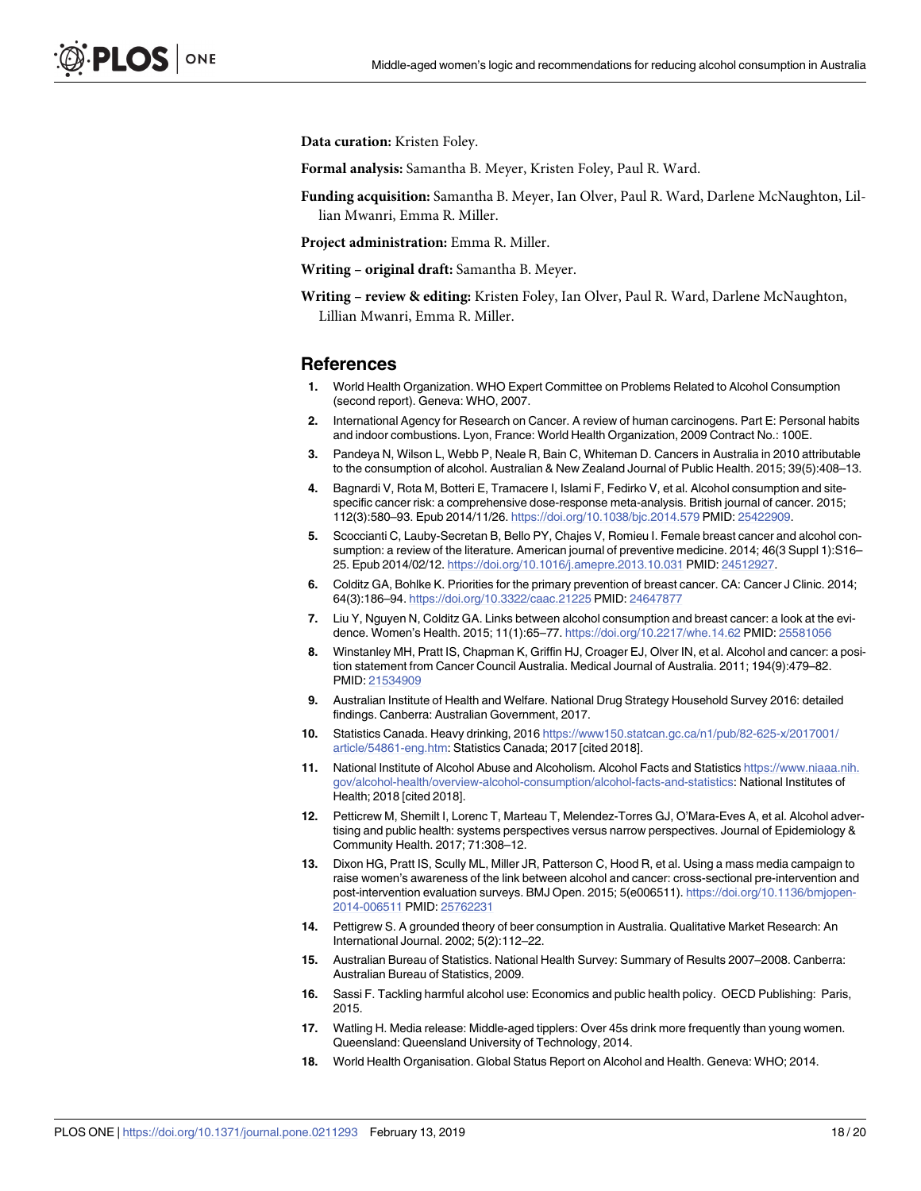<span id="page-17-0"></span>**Data curation:** Kristen Foley.

**Formal analysis:** Samantha B. Meyer, Kristen Foley, Paul R. Ward.

**Funding acquisition:** Samantha B. Meyer, Ian Olver, Paul R. Ward, Darlene McNaughton, Lillian Mwanri, Emma R. Miller.

**Project administration:** Emma R. Miller.

**Writing – original draft:** Samantha B. Meyer.

**Writing – review & editing:** Kristen Foley, Ian Olver, Paul R. Ward, Darlene McNaughton, Lillian Mwanri, Emma R. Miller.

#### **References**

- **[1](#page-1-0).** World Health Organization. WHO Expert Committee on Problems Related to Alcohol Consumption (second report). Geneva: WHO, 2007.
- **[2](#page-1-0).** International Agency for Research on Cancer. A review of human carcinogens. Part E: Personal habits and indoor combustions. Lyon, France: World Health Organization, 2009 Contract No.: 100E.
- **[3](#page-1-0).** Pandeya N, Wilson L, Webb P, Neale R, Bain C, Whiteman D. Cancers in Australia in 2010 attributable to the consumption of alcohol. Australian & New Zealand Journal of Public Health. 2015; 39(5):408–13.
- **[4](#page-1-0).** Bagnardi V, Rota M, Botteri E, Tramacere I, Islami F, Fedirko V, et al. Alcohol consumption and sitespecific cancer risk: a comprehensive dose-response meta-analysis. British journal of cancer. 2015; 112(3):580–93. Epub 2014/11/26. <https://doi.org/10.1038/bjc.2014.579> PMID: [25422909.](http://www.ncbi.nlm.nih.gov/pubmed/25422909)
- **[5](#page-1-0).** Scoccianti C, Lauby-Secretan B, Bello PY, Chajes V, Romieu I. Female breast cancer and alcohol consumption: a review of the literature. American journal of preventive medicine. 2014; 46(3 Suppl 1):S16-25. Epub 2014/02/12. <https://doi.org/10.1016/j.amepre.2013.10.031> PMID: [24512927.](http://www.ncbi.nlm.nih.gov/pubmed/24512927)
- **[6](#page-1-0).** Colditz GA, Bohlke K. Priorities for the primary prevention of breast cancer. CA: Cancer J Clinic. 2014; 64(3):186–94. <https://doi.org/10.3322/caac.21225> PMID: [24647877](http://www.ncbi.nlm.nih.gov/pubmed/24647877)
- **[7](#page-1-0).** Liu Y, Nguyen N, Colditz GA. Links between alcohol consumption and breast cancer: a look at the evidence. Women's Health. 2015; 11(1):65–77. <https://doi.org/10.2217/whe.14.62> PMID: [25581056](http://www.ncbi.nlm.nih.gov/pubmed/25581056)
- **[8](#page-1-0).** Winstanley MH, Pratt IS, Chapman K, Griffin HJ, Croager EJ, Olver IN, et al. Alcohol and cancer: a position statement from Cancer Council Australia. Medical Journal of Australia. 2011; 194(9):479–82. PMID: [21534909](http://www.ncbi.nlm.nih.gov/pubmed/21534909)
- **[9](#page-1-0).** Australian Institute of Health and Welfare. National Drug Strategy Household Survey 2016: detailed findings. Canberra: Australian Government, 2017.
- **[10](#page-1-0).** Statistics Canada. Heavy drinking, 2016 [https://www150.statcan.gc.ca/n1/pub/82-625-x/2017001/](https://www150.statcan.gc.ca/n1/pub/82-625-x/2017001/article/54861-eng.htm) [article/54861-eng.htm:](https://www150.statcan.gc.ca/n1/pub/82-625-x/2017001/article/54861-eng.htm) Statistics Canada; 2017 [cited 2018].
- **[11](#page-1-0).** National Institute of Alcohol Abuse and Alcoholism. Alcohol Facts and Statistics [https://www.niaaa.nih.](https://www.niaaa.nih.gov/alcohol-health/overview-alcohol-consumption/alcohol-facts-and-statistics) [gov/alcohol-health/overview-alcohol-consumption/alcohol-facts-and-statistics:](https://www.niaaa.nih.gov/alcohol-health/overview-alcohol-consumption/alcohol-facts-and-statistics) National Institutes of Health; 2018 [cited 2018].
- **[12](#page-1-0).** Petticrew M, Shemilt I, Lorenc T, Marteau T, Melendez-Torres GJ, O'Mara-Eves A, et al. Alcohol advertising and public health: systems perspectives versus narrow perspectives. Journal of Epidemiology & Community Health. 2017; 71:308–12.
- **[13](#page-1-0).** Dixon HG, Pratt IS, Scully ML, Miller JR, Patterson C, Hood R, et al. Using a mass media campaign to raise women's awareness of the link between alcohol and cancer: cross-sectional pre-intervention and post-intervention evaluation surveys. BMJ Open. 2015; 5(e006511). [https://doi.org/10.1136/bmjopen-](https://doi.org/10.1136/bmjopen-2014-006511)[2014-006511](https://doi.org/10.1136/bmjopen-2014-006511) PMID: [25762231](http://www.ncbi.nlm.nih.gov/pubmed/25762231)
- **[14](#page-1-0).** Pettigrew S. A grounded theory of beer consumption in Australia. Qualitative Market Research: An International Journal. 2002; 5(2):112–22.
- **[15](#page-1-0).** Australian Bureau of Statistics. National Health Survey: Summary of Results 2007–2008. Canberra: Australian Bureau of Statistics, 2009.
- **16.** Sassi F. Tackling harmful alcohol use: Economics and public health policy. OECD Publishing: Paris, 2015.
- **[17](#page-1-0).** Watling H. Media release: Middle-aged tipplers: Over 45s drink more frequently than young women. Queensland: Queensland University of Technology, 2014.
- **[18](#page-1-0).** World Health Organisation. Global Status Report on Alcohol and Health. Geneva: WHO; 2014.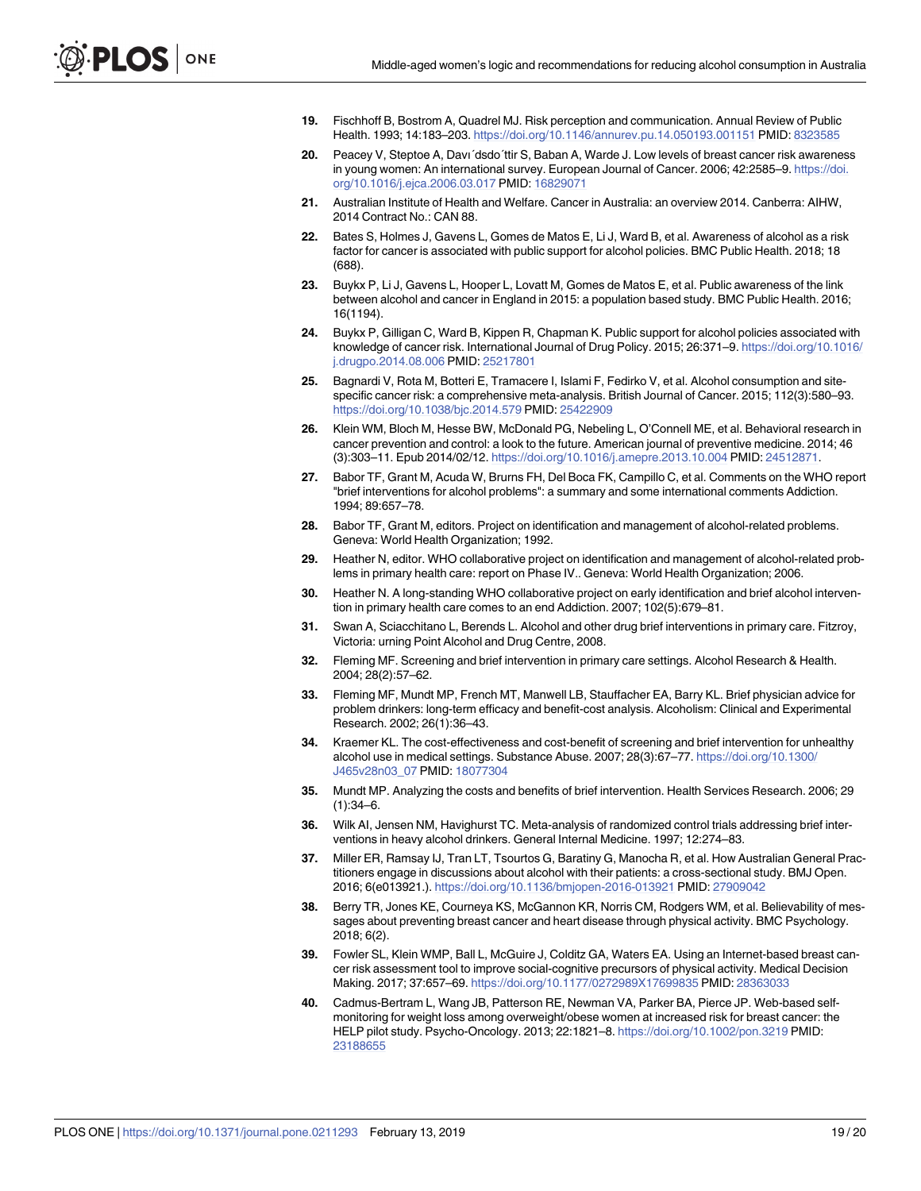- <span id="page-18-0"></span>**[19](#page-1-0).** Fischhoff B, Bostrom A, Quadrel MJ. Risk perception and communication. Annual Review of Public Health. 1993; 14:183–203. <https://doi.org/10.1146/annurev.pu.14.050193.001151> PMID: [8323585](http://www.ncbi.nlm.nih.gov/pubmed/8323585)
- [20](#page-1-0). Peacey V, Steptoe A, Davi dsdo ttir S, Baban A, Warde J. Low levels of breast cancer risk awareness in young women: An international survey. European Journal of Cancer. 2006; 42:2585–9. [https://doi.](https://doi.org/10.1016/j.ejca.2006.03.017) [org/10.1016/j.ejca.2006.03.017](https://doi.org/10.1016/j.ejca.2006.03.017) PMID: [16829071](http://www.ncbi.nlm.nih.gov/pubmed/16829071)
- **[21](#page-1-0).** Australian Institute of Health and Welfare. Cancer in Australia: an overview 2014. Canberra: AIHW, 2014 Contract No.: CAN 88.
- **[22](#page-1-0).** Bates S, Holmes J, Gavens L, Gomes de Matos E, Li J, Ward B, et al. Awareness of alcohol as a risk factor for cancer is associated with public support for alcohol policies. BMC Public Health. 2018; 18 (688).
- **[23](#page-1-0).** Buykx P, Li J, Gavens L, Hooper L, Lovatt M, Gomes de Matos E, et al. Public awareness of the link between alcohol and cancer in England in 2015: a population based study. BMC Public Health. 2016; 16(1194).
- **[24](#page-1-0).** Buykx P, Gilligan C, Ward B, Kippen R, Chapman K. Public support for alcohol policies associated with knowledge of cancer risk. International Journal of Drug Policy. 2015; 26:371–9. [https://doi.org/10.1016/](https://doi.org/10.1016/j.drugpo.2014.08.006) [j.drugpo.2014.08.006](https://doi.org/10.1016/j.drugpo.2014.08.006) PMID: [25217801](http://www.ncbi.nlm.nih.gov/pubmed/25217801)
- **[25](#page-1-0).** Bagnardi V, Rota M, Botteri E, Tramacere I, Islami F, Fedirko V, et al. Alcohol consumption and sitespecific cancer risk: a comprehensive meta-analysis. British Journal of Cancer. 2015; 112(3):580–93. <https://doi.org/10.1038/bjc.2014.579> PMID: [25422909](http://www.ncbi.nlm.nih.gov/pubmed/25422909)
- **[26](#page-1-0).** Klein WM, Bloch M, Hesse BW, McDonald PG, Nebeling L, O'Connell ME, et al. Behavioral research in cancer prevention and control: a look to the future. American journal of preventive medicine. 2014; 46 (3):303–11. Epub 2014/02/12. <https://doi.org/10.1016/j.amepre.2013.10.004> PMID: [24512871](http://www.ncbi.nlm.nih.gov/pubmed/24512871).
- **[27](#page-1-0).** Babor TF, Grant M, Acuda W, Brurns FH, Del Boca FK, Campillo C, et al. Comments on the WHO report "brief interventions for alcohol problems": a summary and some international comments Addiction. 1994; 89:657–78.
- **28.** Babor TF, Grant M, editors. Project on identification and management of alcohol-related problems. Geneva: World Health Organization; 1992.
- **29.** Heather N, editor. WHO collaborative project on identification and management of alcohol-related problems in primary health care: report on Phase IV‥ Geneva: World Health Organization; 2006.
- **[30](#page-1-0).** Heather N. A long-standing WHO collaborative project on early identification and brief alcohol intervention in primary health care comes to an end Addiction. 2007; 102(5):679–81.
- **[31](#page-1-0).** Swan A, Sciacchitano L, Berends L. Alcohol and other drug brief interventions in primary care. Fitzroy, Victoria: urning Point Alcohol and Drug Centre, 2008.
- **32.** Fleming MF. Screening and brief intervention in primary care settings. Alcohol Research & Health. 2004; 28(2):57–62.
- **33.** Fleming MF, Mundt MP, French MT, Manwell LB, Stauffacher EA, Barry KL. Brief physician advice for problem drinkers: long-term efficacy and benefit-cost analysis. Alcoholism: Clinical and Experimental Research. 2002; 26(1):36–43.
- **34.** Kraemer KL. The cost-effectiveness and cost-benefit of screening and brief intervention for unhealthy alcohol use in medical settings. Substance Abuse. 2007; 28(3):67–77. [https://doi.org/10.1300/](https://doi.org/10.1300/J465v28n03_07) [J465v28n03\\_07](https://doi.org/10.1300/J465v28n03_07) PMID: [18077304](http://www.ncbi.nlm.nih.gov/pubmed/18077304)
- **35.** Mundt MP. Analyzing the costs and benefits of brief intervention. Health Services Research. 2006; 29  $(1):34-6.$
- **[36](#page-1-0).** Wilk AI, Jensen NM, Havighurst TC. Meta-analysis of randomized control trials addressing brief interventions in heavy alcohol drinkers. General Internal Medicine. 1997; 12:274–83.
- **[37](#page-2-0).** Miller ER, Ramsay IJ, Tran LT, Tsourtos G, Baratiny G, Manocha R, et al. How Australian General Practitioners engage in discussions about alcohol with their patients: a cross-sectional study. BMJ Open. 2016; 6(e013921.). <https://doi.org/10.1136/bmjopen-2016-013921> PMID: [27909042](http://www.ncbi.nlm.nih.gov/pubmed/27909042)
- **[38](#page-2-0).** Berry TR, Jones KE, Courneya KS, McGannon KR, Norris CM, Rodgers WM, et al. Believability of messages about preventing breast cancer and heart disease through physical activity. BMC Psychology. 2018; 6(2).
- **39.** Fowler SL, Klein WMP, Ball L, McGuire J, Colditz GA, Waters EA. Using an Internet-based breast cancer risk assessment tool to improve social-cognitive precursors of physical activity. Medical Decision Making. 2017; 37:657–69. <https://doi.org/10.1177/0272989X17699835> PMID: [28363033](http://www.ncbi.nlm.nih.gov/pubmed/28363033)
- **[40](#page-2-0).** Cadmus-Bertram L, Wang JB, Patterson RE, Newman VA, Parker BA, Pierce JP. Web-based selfmonitoring for weight loss among overweight/obese women at increased risk for breast cancer: the HELP pilot study. Psycho-Oncology. 2013; 22:1821–8. <https://doi.org/10.1002/pon.3219> PMID: [23188655](http://www.ncbi.nlm.nih.gov/pubmed/23188655)